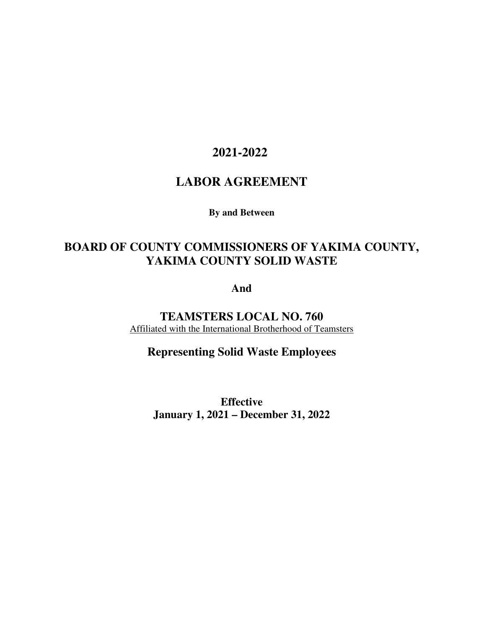# **2021-2022**

# **LABOR AGREEMENT**

**By and Between** 

# **BOARD OF COUNTY COMMISSIONERS OF YAKIMA COUNTY, YAKIMA COUNTY SOLID WASTE**

**And** 

**TEAMSTERS LOCAL NO. 760**  Affiliated with the International Brotherhood of Teamsters

**Representing Solid Waste Employees** 

**Effective January 1, 2021 – December 31, 2022**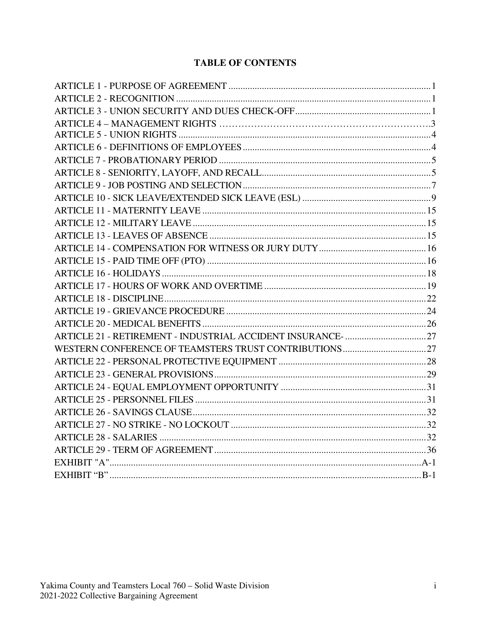## **TABLE OF CONTENTS**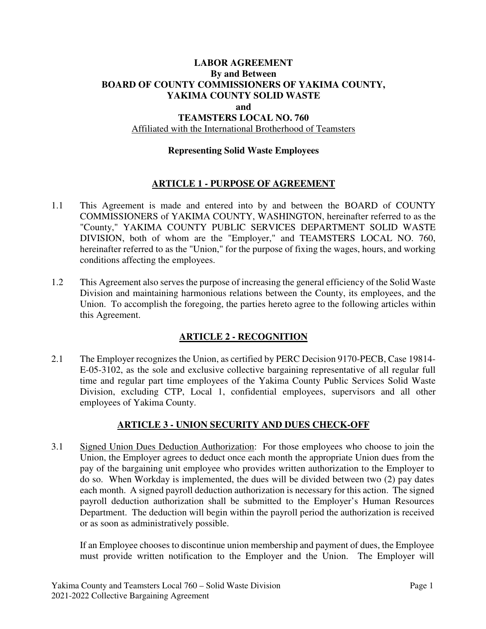### **LABOR AGREEMENT By and Between BOARD OF COUNTY COMMISSIONERS OF YAKIMA COUNTY, YAKIMA COUNTY SOLID WASTE and TEAMSTERS LOCAL NO. 760**

#### Affiliated with the International Brotherhood of Teamsters

#### **Representing Solid Waste Employees**

#### **ARTICLE 1 - PURPOSE OF AGREEMENT**

- 1.1 This Agreement is made and entered into by and between the BOARD of COUNTY COMMISSIONERS of YAKIMA COUNTY, WASHINGTON, hereinafter referred to as the "County," YAKIMA COUNTY PUBLIC SERVICES DEPARTMENT SOLID WASTE DIVISION, both of whom are the "Employer," and TEAMSTERS LOCAL NO. 760, hereinafter referred to as the "Union," for the purpose of fixing the wages, hours, and working conditions affecting the employees.
- 1.2 This Agreement also serves the purpose of increasing the general efficiency of the Solid Waste Division and maintaining harmonious relations between the County, its employees, and the Union. To accomplish the foregoing, the parties hereto agree to the following articles within this Agreement.

#### **ARTICLE 2 - RECOGNITION**

2.1 The Employer recognizes the Union, as certified by PERC Decision 9170-PECB, Case 19814- E-05-3102, as the sole and exclusive collective bargaining representative of all regular full time and regular part time employees of the Yakima County Public Services Solid Waste Division, excluding CTP, Local 1, confidential employees, supervisors and all other employees of Yakima County.

#### **ARTICLE 3 - UNION SECURITY AND DUES CHECK-OFF**

3.1 Signed Union Dues Deduction Authorization: For those employees who choose to join the Union, the Employer agrees to deduct once each month the appropriate Union dues from the pay of the bargaining unit employee who provides written authorization to the Employer to do so. When Workday is implemented, the dues will be divided between two (2) pay dates each month. A signed payroll deduction authorization is necessary for this action. The signed payroll deduction authorization shall be submitted to the Employer's Human Resources Department. The deduction will begin within the payroll period the authorization is received or as soon as administratively possible.

If an Employee chooses to discontinue union membership and payment of dues, the Employee must provide written notification to the Employer and the Union. The Employer will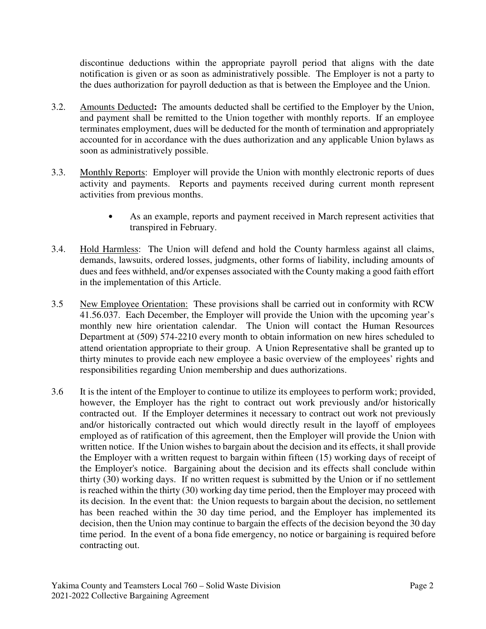discontinue deductions within the appropriate payroll period that aligns with the date notification is given or as soon as administratively possible. The Employer is not a party to the dues authorization for payroll deduction as that is between the Employee and the Union.

- 3.2. Amounts Deducted**:** The amounts deducted shall be certified to the Employer by the Union, and payment shall be remitted to the Union together with monthly reports. If an employee terminates employment, dues will be deducted for the month of termination and appropriately accounted for in accordance with the dues authorization and any applicable Union bylaws as soon as administratively possible.
- 3.3. Monthly Reports: Employer will provide the Union with monthly electronic reports of dues activity and payments. Reports and payments received during current month represent activities from previous months.
	- As an example, reports and payment received in March represent activities that transpired in February.
- 3.4. Hold Harmless: The Union will defend and hold the County harmless against all claims, demands, lawsuits, ordered losses, judgments, other forms of liability, including amounts of dues and fees withheld, and/or expenses associated with the County making a good faith effort in the implementation of this Article.
- 3.5 New Employee Orientation: These provisions shall be carried out in conformity with RCW 41.56.037. Each December, the Employer will provide the Union with the upcoming year's monthly new hire orientation calendar. The Union will contact the Human Resources Department at (509) 574-2210 every month to obtain information on new hires scheduled to attend orientation appropriate to their group. A Union Representative shall be granted up to thirty minutes to provide each new employee a basic overview of the employees' rights and responsibilities regarding Union membership and dues authorizations.
- 3.6 It is the intent of the Employer to continue to utilize its employees to perform work; provided, however, the Employer has the right to contract out work previously and/or historically contracted out. If the Employer determines it necessary to contract out work not previously and/or historically contracted out which would directly result in the layoff of employees employed as of ratification of this agreement, then the Employer will provide the Union with written notice. If the Union wishes to bargain about the decision and its effects, it shall provide the Employer with a written request to bargain within fifteen (15) working days of receipt of the Employer's notice. Bargaining about the decision and its effects shall conclude within thirty (30) working days. If no written request is submitted by the Union or if no settlement is reached within the thirty (30) working day time period, then the Employer may proceed with its decision. In the event that: the Union requests to bargain about the decision, no settlement has been reached within the 30 day time period, and the Employer has implemented its decision, then the Union may continue to bargain the effects of the decision beyond the 30 day time period. In the event of a bona fide emergency, no notice or bargaining is required before contracting out.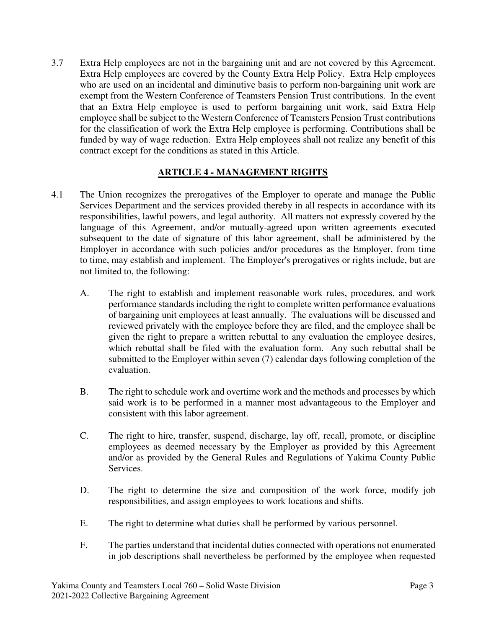3.7 Extra Help employees are not in the bargaining unit and are not covered by this Agreement. Extra Help employees are covered by the County Extra Help Policy. Extra Help employees who are used on an incidental and diminutive basis to perform non-bargaining unit work are exempt from the Western Conference of Teamsters Pension Trust contributions. In the event that an Extra Help employee is used to perform bargaining unit work, said Extra Help employee shall be subject to the Western Conference of Teamsters Pension Trust contributions for the classification of work the Extra Help employee is performing. Contributions shall be funded by way of wage reduction. Extra Help employees shall not realize any benefit of this contract except for the conditions as stated in this Article.

### **ARTICLE 4 - MANAGEMENT RIGHTS**

- 4.1 The Union recognizes the prerogatives of the Employer to operate and manage the Public Services Department and the services provided thereby in all respects in accordance with its responsibilities, lawful powers, and legal authority. All matters not expressly covered by the language of this Agreement, and/or mutually-agreed upon written agreements executed subsequent to the date of signature of this labor agreement, shall be administered by the Employer in accordance with such policies and/or procedures as the Employer, from time to time, may establish and implement. The Employer's prerogatives or rights include, but are not limited to, the following:
	- A. The right to establish and implement reasonable work rules, procedures, and work performance standards including the right to complete written performance evaluations of bargaining unit employees at least annually. The evaluations will be discussed and reviewed privately with the employee before they are filed, and the employee shall be given the right to prepare a written rebuttal to any evaluation the employee desires, which rebuttal shall be filed with the evaluation form. Any such rebuttal shall be submitted to the Employer within seven (7) calendar days following completion of the evaluation.
	- B. The right to schedule work and overtime work and the methods and processes by which said work is to be performed in a manner most advantageous to the Employer and consistent with this labor agreement.
	- C. The right to hire, transfer, suspend, discharge, lay off, recall, promote, or discipline employees as deemed necessary by the Employer as provided by this Agreement and/or as provided by the General Rules and Regulations of Yakima County Public Services.
	- D. The right to determine the size and composition of the work force, modify job responsibilities, and assign employees to work locations and shifts.
	- E. The right to determine what duties shall be performed by various personnel.
	- F. The parties understand that incidental duties connected with operations not enumerated in job descriptions shall nevertheless be performed by the employee when requested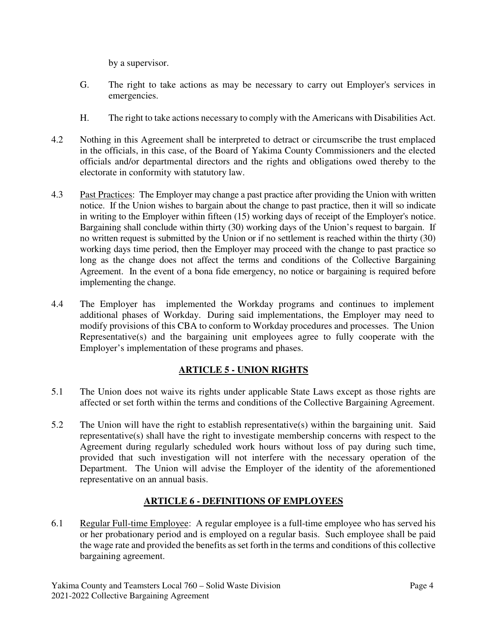by a supervisor.

- G. The right to take actions as may be necessary to carry out Employer's services in emergencies.
- H. The right to take actions necessary to comply with the Americans with Disabilities Act.
- 4.2 Nothing in this Agreement shall be interpreted to detract or circumscribe the trust emplaced in the officials, in this case, of the Board of Yakima County Commissioners and the elected officials and/or departmental directors and the rights and obligations owed thereby to the electorate in conformity with statutory law.
- 4.3 Past Practices: The Employer may change a past practice after providing the Union with written notice. If the Union wishes to bargain about the change to past practice, then it will so indicate in writing to the Employer within fifteen (15) working days of receipt of the Employer's notice. Bargaining shall conclude within thirty (30) working days of the Union's request to bargain. If no written request is submitted by the Union or if no settlement is reached within the thirty (30) working days time period, then the Employer may proceed with the change to past practice so long as the change does not affect the terms and conditions of the Collective Bargaining Agreement. In the event of a bona fide emergency, no notice or bargaining is required before implementing the change.
- 4.4 The Employer has implemented the Workday programs and continues to implement additional phases of Workday. During said implementations, the Employer may need to modify provisions of this CBA to conform to Workday procedures and processes. The Union Representative(s) and the bargaining unit employees agree to fully cooperate with the Employer's implementation of these programs and phases.

## **ARTICLE 5 - UNION RIGHTS**

- 5.1 The Union does not waive its rights under applicable State Laws except as those rights are affected or set forth within the terms and conditions of the Collective Bargaining Agreement.
- 5.2 The Union will have the right to establish representative(s) within the bargaining unit. Said representative(s) shall have the right to investigate membership concerns with respect to the Agreement during regularly scheduled work hours without loss of pay during such time, provided that such investigation will not interfere with the necessary operation of the Department. The Union will advise the Employer of the identity of the aforementioned representative on an annual basis.

## **ARTICLE 6 - DEFINITIONS OF EMPLOYEES**

6.1 Regular Full-time Employee: A regular employee is a full-time employee who has served his or her probationary period and is employed on a regular basis. Such employee shall be paid the wage rate and provided the benefits as set forth in the terms and conditions of this collective bargaining agreement.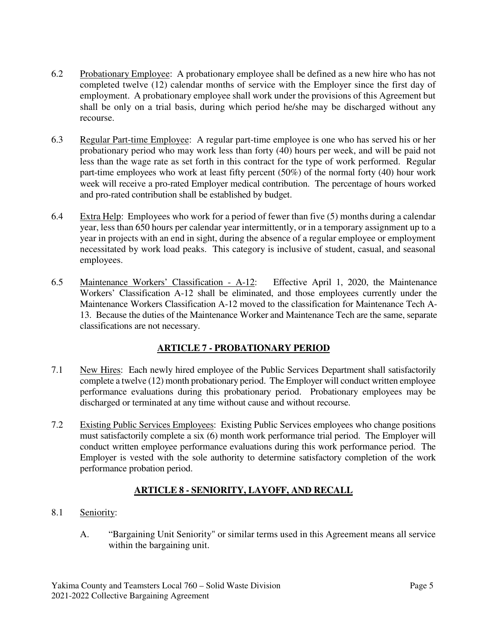- 6.2 Probationary Employee: A probationary employee shall be defined as a new hire who has not completed twelve (12) calendar months of service with the Employer since the first day of employment. A probationary employee shall work under the provisions of this Agreement but shall be only on a trial basis, during which period he/she may be discharged without any recourse.
- 6.3 Regular Part-time Employee: A regular part-time employee is one who has served his or her probationary period who may work less than forty (40) hours per week, and will be paid not less than the wage rate as set forth in this contract for the type of work performed. Regular part-time employees who work at least fifty percent (50%) of the normal forty (40) hour work week will receive a pro-rated Employer medical contribution. The percentage of hours worked and pro-rated contribution shall be established by budget.
- 6.4 Extra Help: Employees who work for a period of fewer than five (5) months during a calendar year, less than 650 hours per calendar year intermittently, or in a temporary assignment up to a year in projects with an end in sight, during the absence of a regular employee or employment necessitated by work load peaks. This category is inclusive of student, casual, and seasonal employees.
- 6.5 Maintenance Workers' Classification A-12: Effective April 1, 2020, the Maintenance Workers' Classification A-12 shall be eliminated, and those employees currently under the Maintenance Workers Classification A-12 moved to the classification for Maintenance Tech A-13. Because the duties of the Maintenance Worker and Maintenance Tech are the same, separate classifications are not necessary.

## **ARTICLE 7 - PROBATIONARY PERIOD**

- 7.1 New Hires: Each newly hired employee of the Public Services Department shall satisfactorily complete a twelve (12) month probationary period. The Employer will conduct written employee performance evaluations during this probationary period. Probationary employees may be discharged or terminated at any time without cause and without recourse.
- 7.2 Existing Public Services Employees: Existing Public Services employees who change positions must satisfactorily complete a six (6) month work performance trial period. The Employer will conduct written employee performance evaluations during this work performance period. The Employer is vested with the sole authority to determine satisfactory completion of the work performance probation period.

## **ARTICLE 8 - SENIORITY, LAYOFF, AND RECALL**

- 8.1 Seniority:
	- A. "Bargaining Unit Seniority" or similar terms used in this Agreement means all service within the bargaining unit.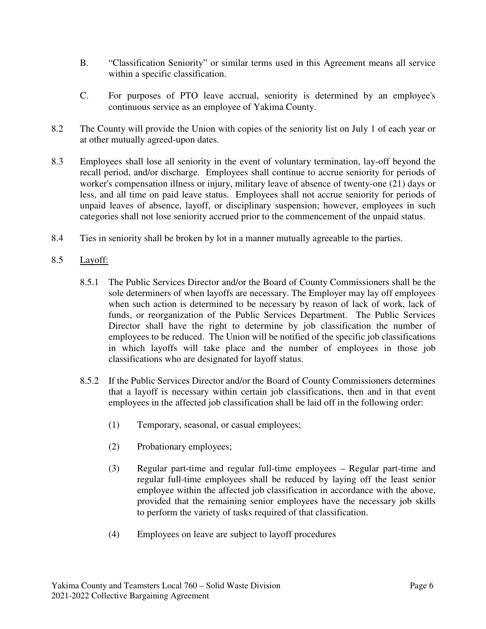- B. "Classification Seniority" or similar terms used in this Agreement means all service within a specific classification.
- C. For purposes of PTO leave accrual, seniority is determined by an employee's continuous service as an employee of Yakima County.
- 8.2 The County will provide the Union with copies of the seniority list on July 1 of each year or at other mutually agreed-upon dates.
- 8.3 Employees shall lose all seniority in the event of voluntary termination, lay-off beyond the recall period, and/or discharge. Employees shall continue to accrue seniority for periods of worker's compensation illness or injury, military leave of absence of twenty-one (21) days or less, and all time on paid leave status. Employees shall not accrue seniority for periods of unpaid leaves of absence, layoff, or disciplinary suspension; however, employees in such categories shall not lose seniority accrued prior to the commencement of the unpaid status.
- 8.4 Ties in seniority shall be broken by lot in a manner mutually agreeable to the parties.

#### 8.5 Layoff:

- 8.5.1 The Public Services Director and/or the Board of County Commissioners shall be the sole determiners of when layoffs are necessary. The Employer may lay off employees when such action is determined to be necessary by reason of lack of work, lack of funds, or reorganization of the Public Services Department. The Public Services Director shall have the right to determine by job classification the number of employees to be reduced. The Union will be notified of the specific job classifications in which layoffs will take place and the number of employees in those job classifications who are designated for layoff status.
- 8.5.2 If the Public Services Director and/or the Board of County Commissioners determines that a layoff is necessary within certain job classifications, then and in that event employees in the affected job classification shall be laid off in the following order:
	- (1) Temporary, seasonal, or casual employees;
	- (2) Probationary employees;
	- (3) Regular part-time and regular full-time employees Regular part-time and regular full-time employees shall be reduced by laying off the least senior employee within the affected job classification in accordance with the above, provided that the remaining senior employees have the necessary job skills to perform the variety of tasks required of that classification.
	- (4) Employees on leave are subject to layoff procedures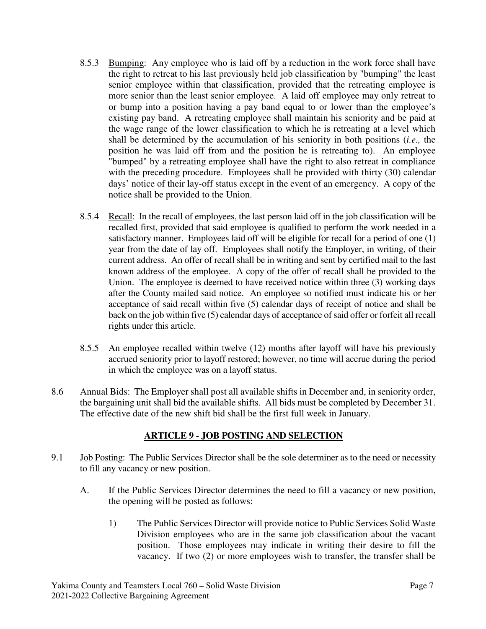- 8.5.3 Bumping: Any employee who is laid off by a reduction in the work force shall have the right to retreat to his last previously held job classification by "bumping" the least senior employee within that classification, provided that the retreating employee is more senior than the least senior employee. A laid off employee may only retreat to or bump into a position having a pay band equal to or lower than the employee's existing pay band. A retreating employee shall maintain his seniority and be paid at the wage range of the lower classification to which he is retreating at a level which shall be determined by the accumulation of his seniority in both positions (*i.e.,* the position he was laid off from and the position he is retreating to). An employee "bumped" by a retreating employee shall have the right to also retreat in compliance with the preceding procedure. Employees shall be provided with thirty (30) calendar days' notice of their lay-off status except in the event of an emergency. A copy of the notice shall be provided to the Union.
- 8.5.4 Recall: In the recall of employees, the last person laid off in the job classification will be recalled first, provided that said employee is qualified to perform the work needed in a satisfactory manner. Employees laid off will be eligible for recall for a period of one (1) year from the date of lay off. Employees shall notify the Employer, in writing, of their current address. An offer of recall shall be in writing and sent by certified mail to the last known address of the employee. A copy of the offer of recall shall be provided to the Union. The employee is deemed to have received notice within three (3) working days after the County mailed said notice. An employee so notified must indicate his or her acceptance of said recall within five (5) calendar days of receipt of notice and shall be back on the job within five (5) calendar days of acceptance of said offer or forfeit all recall rights under this article.
- 8.5.5 An employee recalled within twelve (12) months after layoff will have his previously accrued seniority prior to layoff restored; however, no time will accrue during the period in which the employee was on a layoff status.
- 8.6 Annual Bids: The Employer shall post all available shifts in December and, in seniority order, the bargaining unit shall bid the available shifts. All bids must be completed by December 31. The effective date of the new shift bid shall be the first full week in January.

### **ARTICLE 9 - JOB POSTING AND SELECTION**

- 9.1 Job Posting: The Public Services Director shall be the sole determiner as to the need or necessity to fill any vacancy or new position.
	- A. If the Public Services Director determines the need to fill a vacancy or new position, the opening will be posted as follows:
		- 1) The Public Services Director will provide notice to Public Services Solid Waste Division employees who are in the same job classification about the vacant position. Those employees may indicate in writing their desire to fill the vacancy. If two (2) or more employees wish to transfer, the transfer shall be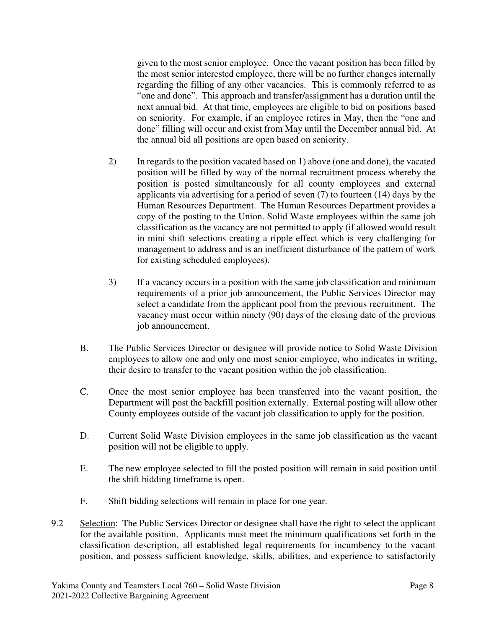given to the most senior employee. Once the vacant position has been filled by the most senior interested employee, there will be no further changes internally regarding the filling of any other vacancies. This is commonly referred to as "one and done". This approach and transfer/assignment has a duration until the next annual bid. At that time, employees are eligible to bid on positions based on seniority. For example, if an employee retires in May, then the "one and done" filling will occur and exist from May until the December annual bid. At the annual bid all positions are open based on seniority.

- 2) In regards to the position vacated based on 1) above (one and done), the vacated position will be filled by way of the normal recruitment process whereby the position is posted simultaneously for all county employees and external applicants via advertising for a period of seven (7) to fourteen (14) days by the Human Resources Department. The Human Resources Department provides a copy of the posting to the Union. Solid Waste employees within the same job classification as the vacancy are not permitted to apply (if allowed would result in mini shift selections creating a ripple effect which is very challenging for management to address and is an inefficient disturbance of the pattern of work for existing scheduled employees).
- 3) If a vacancy occurs in a position with the same job classification and minimum requirements of a prior job announcement, the Public Services Director may select a candidate from the applicant pool from the previous recruitment. The vacancy must occur within ninety (90) days of the closing date of the previous job announcement.
- B. The Public Services Director or designee will provide notice to Solid Waste Division employees to allow one and only one most senior employee, who indicates in writing, their desire to transfer to the vacant position within the job classification.
- C. Once the most senior employee has been transferred into the vacant position, the Department will post the backfill position externally. External posting will allow other County employees outside of the vacant job classification to apply for the position.
- D. Current Solid Waste Division employees in the same job classification as the vacant position will not be eligible to apply.
- E. The new employee selected to fill the posted position will remain in said position until the shift bidding timeframe is open.
- F. Shift bidding selections will remain in place for one year.
- 9.2 Selection: The Public Services Director or designee shall have the right to select the applicant for the available position. Applicants must meet the minimum qualifications set forth in the classification description, all established legal requirements for incumbency to the vacant position, and possess sufficient knowledge, skills, abilities, and experience to satisfactorily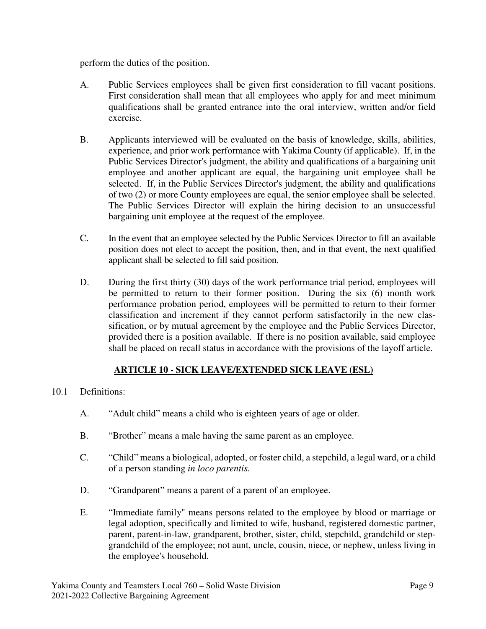perform the duties of the position.

- A. Public Services employees shall be given first consideration to fill vacant positions. First consideration shall mean that all employees who apply for and meet minimum qualifications shall be granted entrance into the oral interview, written and/or field exercise.
- B. Applicants interviewed will be evaluated on the basis of knowledge, skills, abilities, experience, and prior work performance with Yakima County (if applicable). If, in the Public Services Director's judgment, the ability and qualifications of a bargaining unit employee and another applicant are equal, the bargaining unit employee shall be selected. If, in the Public Services Director's judgment, the ability and qualifications of two (2) or more County employees are equal, the senior employee shall be selected. The Public Services Director will explain the hiring decision to an unsuccessful bargaining unit employee at the request of the employee.
- C. In the event that an employee selected by the Public Services Director to fill an available position does not elect to accept the position, then, and in that event, the next qualified applicant shall be selected to fill said position.
- D. During the first thirty (30) days of the work performance trial period, employees will be permitted to return to their former position. During the six (6) month work performance probation period, employees will be permitted to return to their former classification and increment if they cannot perform satisfactorily in the new classification, or by mutual agreement by the employee and the Public Services Director, provided there is a position available. If there is no position available, said employee shall be placed on recall status in accordance with the provisions of the layoff article.

## **ARTICLE 10 - SICK LEAVE/EXTENDED SICK LEAVE (ESL)**

### 10.1 Definitions:

- A. "Adult child" means a child who is eighteen years of age or older.
- B. "Brother" means a male having the same parent as an employee.
- C. "Child" means a biological, adopted, or foster child, a stepchild, a legal ward, or a child of a person standing *in loco parentis.*
- D. "Grandparent" means a parent of a parent of an employee.
- E. "Immediate family" means persons related to the employee by blood or marriage or legal adoption, specifically and limited to wife, husband, registered domestic partner, parent, parent-in-law, grandparent, brother, sister, child, stepchild, grandchild or stepgrandchild of the employee; not aunt, uncle, cousin, niece, or nephew, unless living in the employee's household.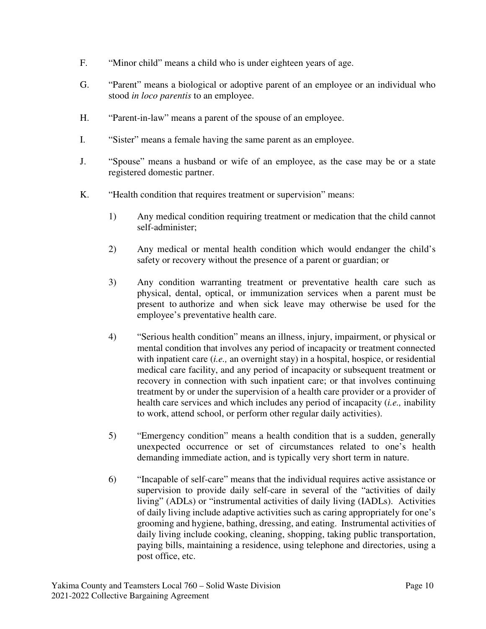- F. "Minor child" means a child who is under eighteen years of age.
- G. "Parent" means a biological or adoptive parent of an employee or an individual who stood *in loco parentis* to an employee.
- H. "Parent-in-law" means a parent of the spouse of an employee.
- I. "Sister" means a female having the same parent as an employee.
- J. "Spouse" means a husband or wife of an employee, as the case may be or a state registered domestic partner.
- K. "Health condition that requires treatment or supervision" means:
	- 1) Any medical condition requiring treatment or medication that the child cannot self-administer;
	- 2) Any medical or mental health condition which would endanger the child's safety or recovery without the presence of a parent or guardian; or
	- 3) Any condition warranting treatment or preventative health care such as physical, dental, optical, or immunization services when a parent must be present to authorize and when sick leave may otherwise be used for the employee's preventative health care.
	- 4) "Serious health condition" means an illness, injury, impairment, or physical or mental condition that involves any period of incapacity or treatment connected with inpatient care *(i.e., an overnight stay)* in a hospital, hospice, or residential medical care facility, and any period of incapacity or subsequent treatment or recovery in connection with such inpatient care; or that involves continuing treatment by or under the supervision of a health care provider or a provider of health care services and which includes any period of incapacity (*i.e.,* inability to work, attend school, or perform other regular daily activities).
	- 5) "Emergency condition" means a health condition that is a sudden, generally unexpected occurrence or set of circumstances related to one's health demanding immediate action, and is typically very short term in nature.
	- 6) "Incapable of self-care" means that the individual requires active assistance or supervision to provide daily self-care in several of the "activities of daily living" (ADLs) or "instrumental activities of daily living (IADLs). Activities of daily living include adaptive activities such as caring appropriately for one's grooming and hygiene, bathing, dressing, and eating. Instrumental activities of daily living include cooking, cleaning, shopping, taking public transportation, paying bills, maintaining a residence, using telephone and directories, using a post office, etc.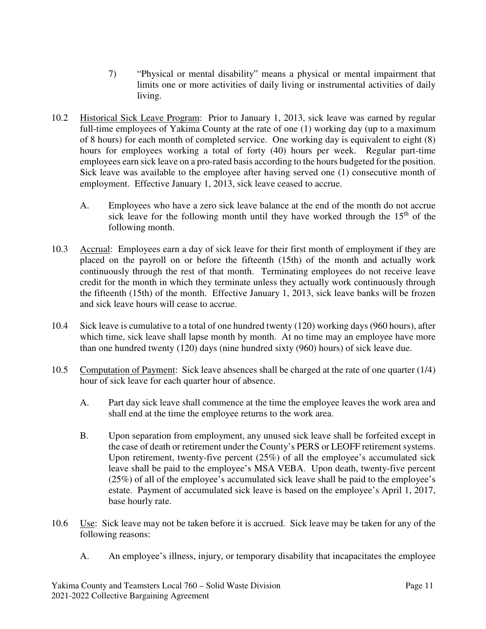- 7) "Physical or mental disability" means a physical or mental impairment that limits one or more activities of daily living or instrumental activities of daily living.
- 10.2 Historical Sick Leave Program: Prior to January 1, 2013, sick leave was earned by regular full-time employees of Yakima County at the rate of one (1) working day (up to a maximum of 8 hours) for each month of completed service. One working day is equivalent to eight (8) hours for employees working a total of forty (40) hours per week. Regular part-time employees earn sick leave on a pro-rated basis according to the hours budgeted for the position. Sick leave was available to the employee after having served one (1) consecutive month of employment. Effective January 1, 2013, sick leave ceased to accrue.
	- A. Employees who have a zero sick leave balance at the end of the month do not accrue sick leave for the following month until they have worked through the  $15<sup>th</sup>$  of the following month.
- 10.3 Accrual: Employees earn a day of sick leave for their first month of employment if they are placed on the payroll on or before the fifteenth (15th) of the month and actually work continuously through the rest of that month. Terminating employees do not receive leave credit for the month in which they terminate unless they actually work continuously through the fifteenth (15th) of the month. Effective January 1, 2013, sick leave banks will be frozen and sick leave hours will cease to accrue.
- 10.4 Sick leave is cumulative to a total of one hundred twenty (120) working days (960 hours), after which time, sick leave shall lapse month by month. At no time may an employee have more than one hundred twenty (120) days (nine hundred sixty (960) hours) of sick leave due.
- 10.5 Computation of Payment: Sick leave absences shall be charged at the rate of one quarter (1/4) hour of sick leave for each quarter hour of absence.
	- A. Part day sick leave shall commence at the time the employee leaves the work area and shall end at the time the employee returns to the work area.
	- B. Upon separation from employment, any unused sick leave shall be forfeited except in the case of death or retirement under the County's PERS or LEOFF retirement systems. Upon retirement, twenty-five percent (25%) of all the employee's accumulated sick leave shall be paid to the employee's MSA VEBA. Upon death, twenty-five percent (25%) of all of the employee's accumulated sick leave shall be paid to the employee's estate. Payment of accumulated sick leave is based on the employee's April 1, 2017, base hourly rate.
- 10.6 Use: Sick leave may not be taken before it is accrued. Sick leave may be taken for any of the following reasons:
	- A. An employee's illness, injury, or temporary disability that incapacitates the employee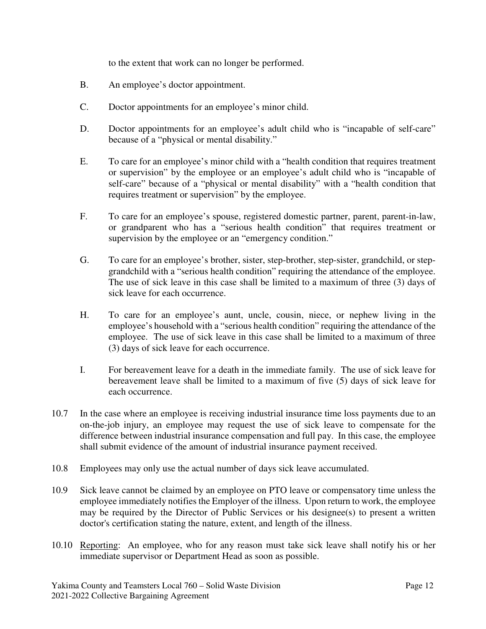to the extent that work can no longer be performed.

- B. An employee's doctor appointment.
- C. Doctor appointments for an employee's minor child.
- D. Doctor appointments for an employee's adult child who is "incapable of self-care" because of a "physical or mental disability."
- E. To care for an employee's minor child with a "health condition that requires treatment or supervision" by the employee or an employee's adult child who is "incapable of self-care" because of a "physical or mental disability" with a "health condition that requires treatment or supervision" by the employee.
- F. To care for an employee's spouse, registered domestic partner, parent, parent-in-law, or grandparent who has a "serious health condition" that requires treatment or supervision by the employee or an "emergency condition."
- G. To care for an employee's brother, sister, step-brother, step-sister, grandchild, or stepgrandchild with a "serious health condition" requiring the attendance of the employee. The use of sick leave in this case shall be limited to a maximum of three (3) days of sick leave for each occurrence.
- H. To care for an employee's aunt, uncle, cousin, niece, or nephew living in the employee's household with a "serious health condition" requiring the attendance of the employee. The use of sick leave in this case shall be limited to a maximum of three (3) days of sick leave for each occurrence.
- I. For bereavement leave for a death in the immediate family. The use of sick leave for bereavement leave shall be limited to a maximum of five (5) days of sick leave for each occurrence.
- 10.7 In the case where an employee is receiving industrial insurance time loss payments due to an on-the-job injury, an employee may request the use of sick leave to compensate for the difference between industrial insurance compensation and full pay. In this case, the employee shall submit evidence of the amount of industrial insurance payment received.
- 10.8 Employees may only use the actual number of days sick leave accumulated.
- 10.9 Sick leave cannot be claimed by an employee on PTO leave or compensatory time unless the employee immediately notifies the Employer of the illness. Upon return to work, the employee may be required by the Director of Public Services or his designee(s) to present a written doctor's certification stating the nature, extent, and length of the illness.
- 10.10 Reporting: An employee, who for any reason must take sick leave shall notify his or her immediate supervisor or Department Head as soon as possible.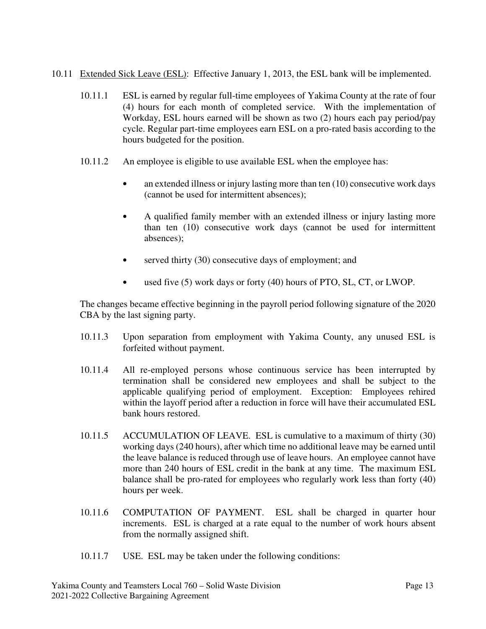- 10.11 Extended Sick Leave (ESL): Effective January 1, 2013, the ESL bank will be implemented.
	- 10.11.1 ESL is earned by regular full-time employees of Yakima County at the rate of four (4) hours for each month of completed service. With the implementation of Workday, ESL hours earned will be shown as two (2) hours each pay period/pay cycle. Regular part-time employees earn ESL on a pro-rated basis according to the hours budgeted for the position.
	- 10.11.2 An employee is eligible to use available ESL when the employee has:
		- an extended illness or injury lasting more than ten (10) consecutive work days (cannot be used for intermittent absences);
		- A qualified family member with an extended illness or injury lasting more than ten (10) consecutive work days (cannot be used for intermittent absences);
		- served thirty (30) consecutive days of employment; and
		- used five (5) work days or forty (40) hours of PTO, SL, CT, or LWOP.

The changes became effective beginning in the payroll period following signature of the 2020 CBA by the last signing party.

- 10.11.3 Upon separation from employment with Yakima County, any unused ESL is forfeited without payment.
- 10.11.4 All re-employed persons whose continuous service has been interrupted by termination shall be considered new employees and shall be subject to the applicable qualifying period of employment. Exception: Employees rehired within the layoff period after a reduction in force will have their accumulated ESL bank hours restored.
- 10.11.5 ACCUMULATION OF LEAVE. ESL is cumulative to a maximum of thirty (30) working days (240 hours), after which time no additional leave may be earned until the leave balance is reduced through use of leave hours. An employee cannot have more than 240 hours of ESL credit in the bank at any time. The maximum ESL balance shall be pro-rated for employees who regularly work less than forty (40) hours per week.
- 10.11.6 COMPUTATION OF PAYMENT. ESL shall be charged in quarter hour increments. ESL is charged at a rate equal to the number of work hours absent from the normally assigned shift.
- 10.11.7 USE. ESL may be taken under the following conditions: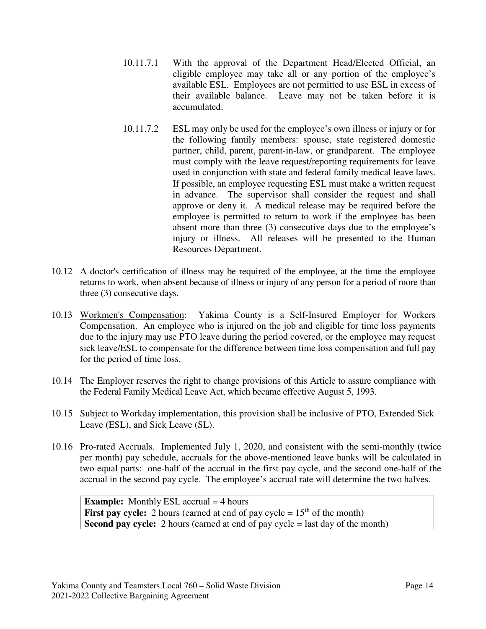- 10.11.7.1 With the approval of the Department Head/Elected Official, an eligible employee may take all or any portion of the employee's available ESL. Employees are not permitted to use ESL in excess of their available balance. Leave may not be taken before it is accumulated.
- 10.11.7.2 ESL may only be used for the employee's own illness or injury or for the following family members: spouse, state registered domestic partner, child, parent, parent-in-law, or grandparent. The employee must comply with the leave request/reporting requirements for leave used in conjunction with state and federal family medical leave laws. If possible, an employee requesting ESL must make a written request in advance. The supervisor shall consider the request and shall approve or deny it. A medical release may be required before the employee is permitted to return to work if the employee has been absent more than three (3) consecutive days due to the employee's injury or illness. All releases will be presented to the Human Resources Department.
- 10.12 A doctor's certification of illness may be required of the employee, at the time the employee returns to work, when absent because of illness or injury of any person for a period of more than three (3) consecutive days.
- 10.13 Workmen's Compensation: Yakima County is a Self-Insured Employer for Workers Compensation. An employee who is injured on the job and eligible for time loss payments due to the injury may use PTO leave during the period covered, or the employee may request sick leave/ESL to compensate for the difference between time loss compensation and full pay for the period of time loss.
- 10.14 The Employer reserves the right to change provisions of this Article to assure compliance with the Federal Family Medical Leave Act, which became effective August 5, 1993.
- 10.15 Subject to Workday implementation, this provision shall be inclusive of PTO, Extended Sick Leave (ESL), and Sick Leave (SL).
- 10.16 Pro-rated Accruals. Implemented July 1, 2020, and consistent with the semi-monthly (twice per month) pay schedule, accruals for the above-mentioned leave banks will be calculated in two equal parts: one-half of the accrual in the first pay cycle, and the second one-half of the accrual in the second pay cycle. The employee's accrual rate will determine the two halves.

**Example:** Monthly ESL accrual = 4 hours **First pay cycle:** 2 hours (earned at end of pay cycle  $= 15<sup>th</sup>$  of the month) **Second pay cycle:** 2 hours (earned at end of pay cycle = last day of the month)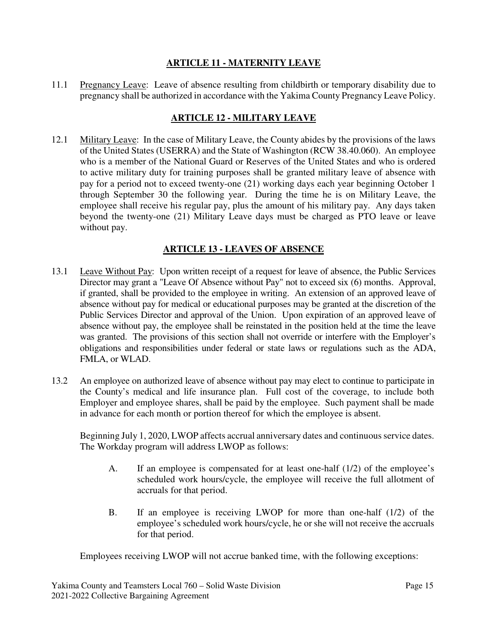### **ARTICLE 11 - MATERNITY LEAVE**

11.1 Pregnancy Leave: Leave of absence resulting from childbirth or temporary disability due to pregnancy shall be authorized in accordance with the Yakima County Pregnancy Leave Policy.

### **ARTICLE 12 - MILITARY LEAVE**

12.1 Military Leave: In the case of Military Leave, the County abides by the provisions of the laws of the United States (USERRA) and the State of Washington (RCW 38.40.060). An employee who is a member of the National Guard or Reserves of the United States and who is ordered to active military duty for training purposes shall be granted military leave of absence with pay for a period not to exceed twenty-one (21) working days each year beginning October 1 through September 30 the following year. During the time he is on Military Leave, the employee shall receive his regular pay, plus the amount of his military pay. Any days taken beyond the twenty-one (21) Military Leave days must be charged as PTO leave or leave without pay.

### **ARTICLE 13 - LEAVES OF ABSENCE**

- 13.1 Leave Without Pay: Upon written receipt of a request for leave of absence, the Public Services Director may grant a "Leave Of Absence without Pay" not to exceed six (6) months. Approval, if granted, shall be provided to the employee in writing. An extension of an approved leave of absence without pay for medical or educational purposes may be granted at the discretion of the Public Services Director and approval of the Union. Upon expiration of an approved leave of absence without pay, the employee shall be reinstated in the position held at the time the leave was granted. The provisions of this section shall not override or interfere with the Employer's obligations and responsibilities under federal or state laws or regulations such as the ADA, FMLA, or WLAD.
- 13.2 An employee on authorized leave of absence without pay may elect to continue to participate in the County's medical and life insurance plan. Full cost of the coverage, to include both Employer and employee shares, shall be paid by the employee. Such payment shall be made in advance for each month or portion thereof for which the employee is absent.

Beginning July 1, 2020, LWOP affects accrual anniversary dates and continuous service dates. The Workday program will address LWOP as follows:

- A. If an employee is compensated for at least one-half (1/2) of the employee's scheduled work hours/cycle, the employee will receive the full allotment of accruals for that period.
- B. If an employee is receiving LWOP for more than one-half (1/2) of the employee's scheduled work hours/cycle, he or she will not receive the accruals for that period.

Employees receiving LWOP will not accrue banked time, with the following exceptions: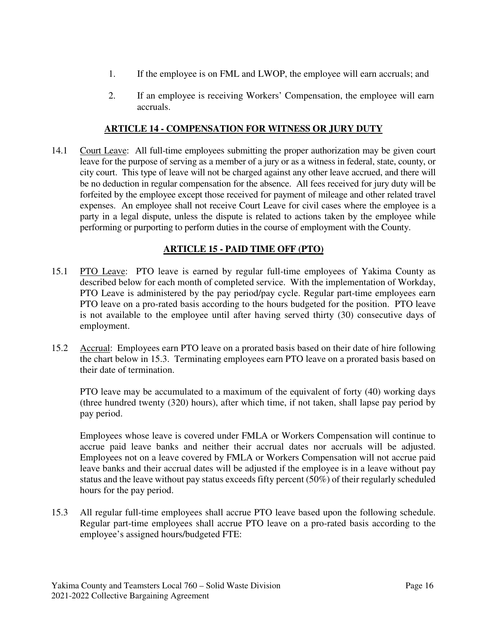- 1. If the employee is on FML and LWOP, the employee will earn accruals; and
- 2. If an employee is receiving Workers' Compensation, the employee will earn accruals.

### **ARTICLE 14 - COMPENSATION FOR WITNESS OR JURY DUTY**

14.1 Court Leave: All full-time employees submitting the proper authorization may be given court leave for the purpose of serving as a member of a jury or as a witness in federal, state, county, or city court. This type of leave will not be charged against any other leave accrued, and there will be no deduction in regular compensation for the absence. All fees received for jury duty will be forfeited by the employee except those received for payment of mileage and other related travel expenses. An employee shall not receive Court Leave for civil cases where the employee is a party in a legal dispute, unless the dispute is related to actions taken by the employee while performing or purporting to perform duties in the course of employment with the County.

#### **ARTICLE 15 - PAID TIME OFF (PTO)**

- 15.1 PTO Leave: PTO leave is earned by regular full-time employees of Yakima County as described below for each month of completed service. With the implementation of Workday, PTO Leave is administered by the pay period/pay cycle. Regular part-time employees earn PTO leave on a pro-rated basis according to the hours budgeted for the position. PTO leave is not available to the employee until after having served thirty (30) consecutive days of employment.
- 15.2 Accrual: Employees earn PTO leave on a prorated basis based on their date of hire following the chart below in 15.3. Terminating employees earn PTO leave on a prorated basis based on their date of termination.

PTO leave may be accumulated to a maximum of the equivalent of forty (40) working days (three hundred twenty (320) hours), after which time, if not taken, shall lapse pay period by pay period.

Employees whose leave is covered under FMLA or Workers Compensation will continue to accrue paid leave banks and neither their accrual dates nor accruals will be adjusted. Employees not on a leave covered by FMLA or Workers Compensation will not accrue paid leave banks and their accrual dates will be adjusted if the employee is in a leave without pay status and the leave without pay status exceeds fifty percent (50%) of their regularly scheduled hours for the pay period.

15.3 All regular full-time employees shall accrue PTO leave based upon the following schedule. Regular part-time employees shall accrue PTO leave on a pro-rated basis according to the employee's assigned hours/budgeted FTE: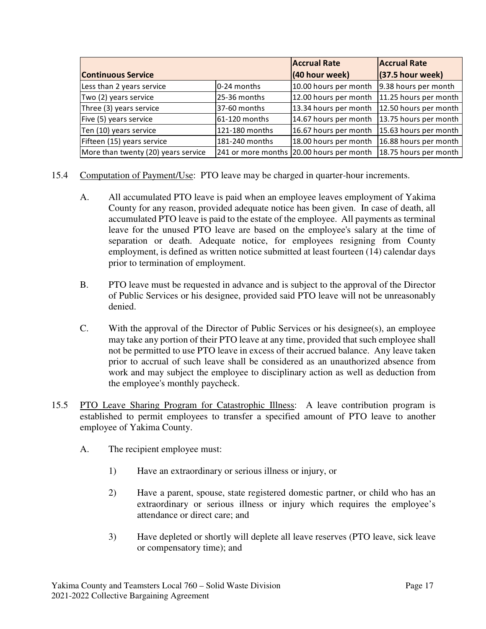|                                     | <b>Accrual Rate</b> | <b>Accrual Rate</b>                      |                       |  |
|-------------------------------------|---------------------|------------------------------------------|-----------------------|--|
| <b>Continuous Service</b>           | (40 hour week)      | $(37.5$ hour week)                       |                       |  |
| Less than 2 years service           | 0-24 months         | 10.00 hours per month                    | 9.38 hours per month  |  |
| Two (2) years service               | 25-36 months        | 12.00 hours per month                    | 11.25 hours per month |  |
| Three (3) years service             | 37-60 months        | 13.34 hours per month                    | 12.50 hours per month |  |
| Five (5) years service              | 61-120 months       | 14.67 hours per month                    | 13.75 hours per month |  |
| Ten (10) years service              | 121-180 months      | 16.67 hours per month                    | 15.63 hours per month |  |
| Fifteen (15) years service          | 181-240 months      | 18.00 hours per month                    | 16.88 hours per month |  |
| More than twenty (20) years service |                     | 241 or more months 20.00 hours per month | 18.75 hours per month |  |

- 15.4 Computation of Payment/Use: PTO leave may be charged in quarter-hour increments.
	- A. All accumulated PTO leave is paid when an employee leaves employment of Yakima County for any reason, provided adequate notice has been given. In case of death, all accumulated PTO leave is paid to the estate of the employee. All payments as terminal leave for the unused PTO leave are based on the employee's salary at the time of separation or death. Adequate notice, for employees resigning from County employment, is defined as written notice submitted at least fourteen (14) calendar days prior to termination of employment.
	- B. PTO leave must be requested in advance and is subject to the approval of the Director of Public Services or his designee, provided said PTO leave will not be unreasonably denied.
	- C. With the approval of the Director of Public Services or his designee(s), an employee may take any portion of their PTO leave at any time, provided that such employee shall not be permitted to use PTO leave in excess of their accrued balance. Any leave taken prior to accrual of such leave shall be considered as an unauthorized absence from work and may subject the employee to disciplinary action as well as deduction from the employee's monthly paycheck.
- 15.5 PTO Leave Sharing Program for Catastrophic Illness: A leave contribution program is established to permit employees to transfer a specified amount of PTO leave to another employee of Yakima County.
	- A. The recipient employee must:
		- 1) Have an extraordinary or serious illness or injury, or
		- 2) Have a parent, spouse, state registered domestic partner, or child who has an extraordinary or serious illness or injury which requires the employee's attendance or direct care; and
		- 3) Have depleted or shortly will deplete all leave reserves (PTO leave, sick leave or compensatory time); and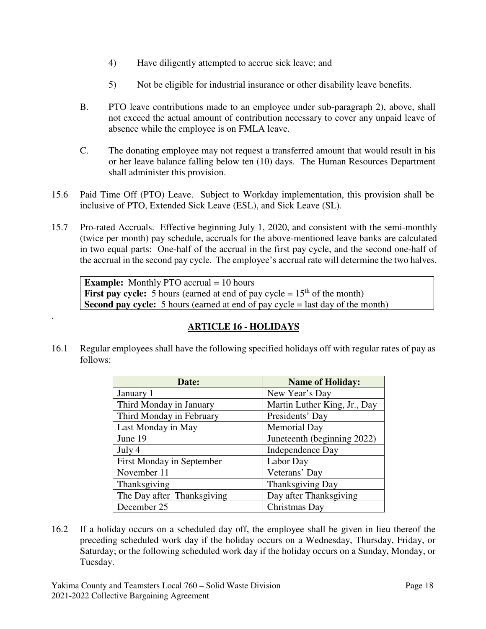- 4) Have diligently attempted to accrue sick leave; and
- 5) Not be eligible for industrial insurance or other disability leave benefits.
- B. PTO leave contributions made to an employee under sub-paragraph 2), above, shall not exceed the actual amount of contribution necessary to cover any unpaid leave of absence while the employee is on FMLA leave.
- C. The donating employee may not request a transferred amount that would result in his or her leave balance falling below ten (10) days. The Human Resources Department shall administer this provision.
- 15.6 Paid Time Off (PTO) Leave. Subject to Workday implementation, this provision shall be inclusive of PTO, Extended Sick Leave (ESL), and Sick Leave (SL).
- 15.7 Pro-rated Accruals. Effective beginning July 1, 2020, and consistent with the semi-monthly (twice per month) pay schedule, accruals for the above-mentioned leave banks are calculated in two equal parts: One-half of the accrual in the first pay cycle, and the second one-half of the accrual in the second pay cycle. The employee's accrual rate will determine the two halves.

**Example:** Monthly PTO accrual = 10 hours **First pay cycle:** 5 hours (earned at end of pay cycle  $= 15<sup>th</sup>$  of the month) **Second pay cycle:** 5 hours (earned at end of pay cycle = last day of the month)

## **ARTICLE 16 - HOLIDAYS**

16.1 Regular employees shall have the following specified holidays off with regular rates of pay as follows:

| Date:                      | <b>Name of Holiday:</b>      |  |  |
|----------------------------|------------------------------|--|--|
| January 1                  | New Year's Day               |  |  |
| Third Monday in January    | Martin Luther King, Jr., Day |  |  |
| Third Monday in February   | Presidents' Day              |  |  |
| Last Monday in May         | <b>Memorial Day</b>          |  |  |
| June 19                    | Juneteenth (beginning 2022)  |  |  |
| July 4                     | Independence Day             |  |  |
| First Monday in September  | Labor Day                    |  |  |
| November 11                | Veterans' Day                |  |  |
| Thanksgiving               | Thanksgiving Day             |  |  |
| The Day after Thanksgiving | Day after Thanksgiving       |  |  |
| December 25                | Christmas Day                |  |  |

16.2 If a holiday occurs on a scheduled day off, the employee shall be given in lieu thereof the preceding scheduled work day if the holiday occurs on a Wednesday, Thursday, Friday, or Saturday; or the following scheduled work day if the holiday occurs on a Sunday, Monday, or Tuesday.

.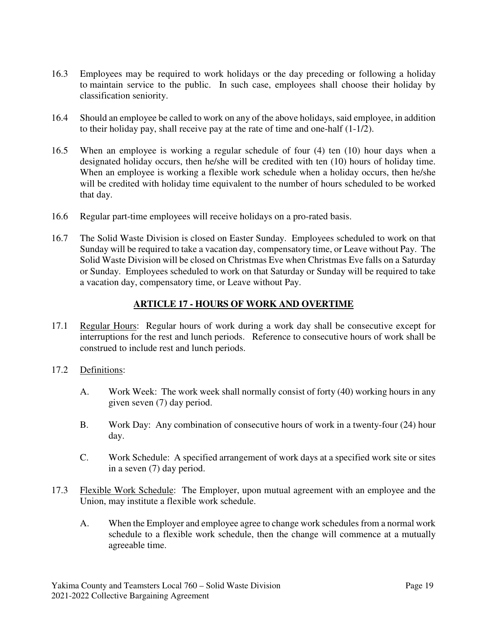- 16.3 Employees may be required to work holidays or the day preceding or following a holiday to maintain service to the public. In such case, employees shall choose their holiday by classification seniority.
- 16.4 Should an employee be called to work on any of the above holidays, said employee, in addition to their holiday pay, shall receive pay at the rate of time and one-half (1-1/2).
- 16.5 When an employee is working a regular schedule of four (4) ten (10) hour days when a designated holiday occurs, then he/she will be credited with ten (10) hours of holiday time. When an employee is working a flexible work schedule when a holiday occurs, then he/she will be credited with holiday time equivalent to the number of hours scheduled to be worked that day.
- 16.6 Regular part-time employees will receive holidays on a pro-rated basis.
- 16.7 The Solid Waste Division is closed on Easter Sunday. Employees scheduled to work on that Sunday will be required to take a vacation day, compensatory time, or Leave without Pay. The Solid Waste Division will be closed on Christmas Eve when Christmas Eve falls on a Saturday or Sunday. Employees scheduled to work on that Saturday or Sunday will be required to take a vacation day, compensatory time, or Leave without Pay.

### **ARTICLE 17 - HOURS OF WORK AND OVERTIME**

- 17.1 Regular Hours: Regular hours of work during a work day shall be consecutive except for interruptions for the rest and lunch periods. Reference to consecutive hours of work shall be construed to include rest and lunch periods.
- 17.2 Definitions:
	- A. Work Week: The work week shall normally consist of forty (40) working hours in any given seven (7) day period.
	- B. Work Day: Any combination of consecutive hours of work in a twenty-four (24) hour day.
	- C. Work Schedule: A specified arrangement of work days at a specified work site or sites in a seven (7) day period.
- 17.3 Flexible Work Schedule: The Employer, upon mutual agreement with an employee and the Union, may institute a flexible work schedule.
	- A. When the Employer and employee agree to change work schedules from a normal work schedule to a flexible work schedule, then the change will commence at a mutually agreeable time.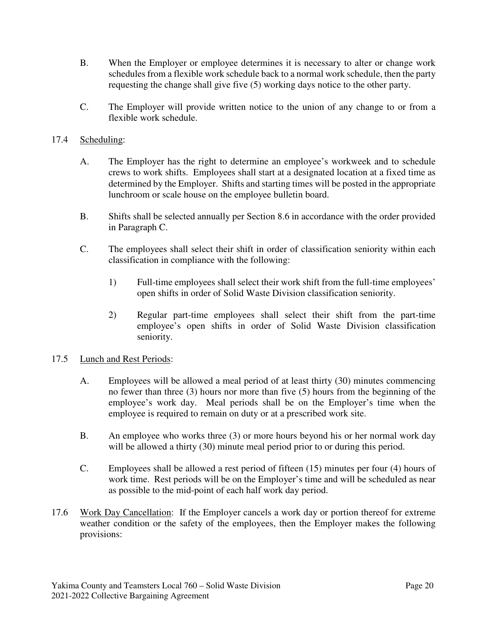- B. When the Employer or employee determines it is necessary to alter or change work schedules from a flexible work schedule back to a normal work schedule, then the party requesting the change shall give five (5) working days notice to the other party.
- C. The Employer will provide written notice to the union of any change to or from a flexible work schedule.
- 17.4 Scheduling:
	- A. The Employer has the right to determine an employee's workweek and to schedule crews to work shifts. Employees shall start at a designated location at a fixed time as determined by the Employer. Shifts and starting times will be posted in the appropriate lunchroom or scale house on the employee bulletin board.
	- B. Shifts shall be selected annually per Section 8.6 in accordance with the order provided in Paragraph C.
	- C. The employees shall select their shift in order of classification seniority within each classification in compliance with the following:
		- 1) Full-time employees shall select their work shift from the full-time employees' open shifts in order of Solid Waste Division classification seniority.
		- 2) Regular part-time employees shall select their shift from the part-time employee's open shifts in order of Solid Waste Division classification seniority.

### 17.5 Lunch and Rest Periods:

- A. Employees will be allowed a meal period of at least thirty (30) minutes commencing no fewer than three (3) hours nor more than five (5) hours from the beginning of the employee's work day. Meal periods shall be on the Employer's time when the employee is required to remain on duty or at a prescribed work site.
- B. An employee who works three (3) or more hours beyond his or her normal work day will be allowed a thirty (30) minute meal period prior to or during this period.
- C. Employees shall be allowed a rest period of fifteen (15) minutes per four (4) hours of work time. Rest periods will be on the Employer's time and will be scheduled as near as possible to the mid-point of each half work day period.
- 17.6 Work Day Cancellation: If the Employer cancels a work day or portion thereof for extreme weather condition or the safety of the employees, then the Employer makes the following provisions: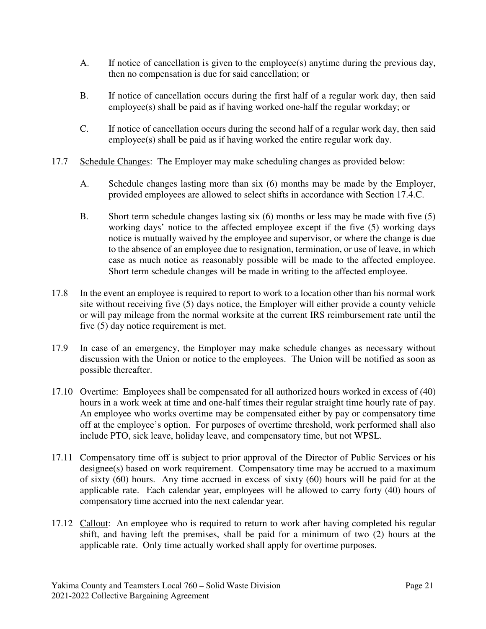- A. If notice of cancellation is given to the employee(s) anytime during the previous day, then no compensation is due for said cancellation; or
- B. If notice of cancellation occurs during the first half of a regular work day, then said employee(s) shall be paid as if having worked one-half the regular workday; or
- C. If notice of cancellation occurs during the second half of a regular work day, then said employee(s) shall be paid as if having worked the entire regular work day.
- 17.7 Schedule Changes: The Employer may make scheduling changes as provided below:
	- A. Schedule changes lasting more than six (6) months may be made by the Employer, provided employees are allowed to select shifts in accordance with Section 17.4.C.
	- B. Short term schedule changes lasting six (6) months or less may be made with five (5) working days' notice to the affected employee except if the five (5) working days notice is mutually waived by the employee and supervisor, or where the change is due to the absence of an employee due to resignation, termination, or use of leave, in which case as much notice as reasonably possible will be made to the affected employee. Short term schedule changes will be made in writing to the affected employee.
- 17.8 In the event an employee is required to report to work to a location other than his normal work site without receiving five (5) days notice, the Employer will either provide a county vehicle or will pay mileage from the normal worksite at the current IRS reimbursement rate until the five (5) day notice requirement is met.
- 17.9 In case of an emergency, the Employer may make schedule changes as necessary without discussion with the Union or notice to the employees. The Union will be notified as soon as possible thereafter.
- 17.10 Overtime: Employees shall be compensated for all authorized hours worked in excess of (40) hours in a work week at time and one-half times their regular straight time hourly rate of pay. An employee who works overtime may be compensated either by pay or compensatory time off at the employee's option. For purposes of overtime threshold, work performed shall also include PTO, sick leave, holiday leave, and compensatory time, but not WPSL.
- 17.11 Compensatory time off is subject to prior approval of the Director of Public Services or his designee(s) based on work requirement. Compensatory time may be accrued to a maximum of sixty (60) hours. Any time accrued in excess of sixty (60) hours will be paid for at the applicable rate. Each calendar year, employees will be allowed to carry forty (40) hours of compensatory time accrued into the next calendar year.
- 17.12 Callout: An employee who is required to return to work after having completed his regular shift, and having left the premises, shall be paid for a minimum of two (2) hours at the applicable rate. Only time actually worked shall apply for overtime purposes.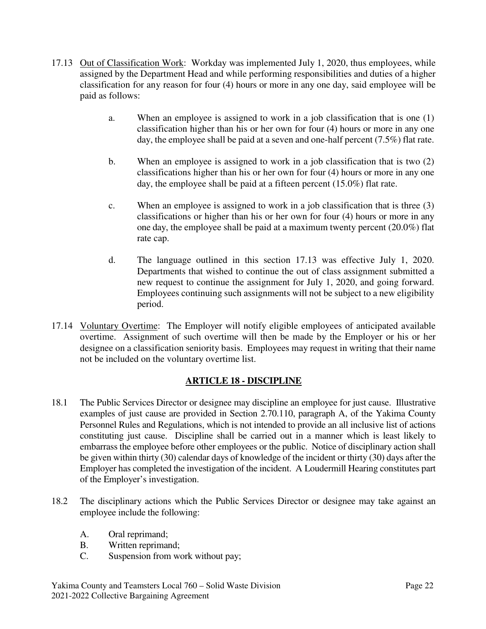- 17.13 Out of Classification Work: Workday was implemented July 1, 2020, thus employees, while assigned by the Department Head and while performing responsibilities and duties of a higher classification for any reason for four (4) hours or more in any one day, said employee will be paid as follows:
	- a. When an employee is assigned to work in a job classification that is one (1) classification higher than his or her own for four (4) hours or more in any one day, the employee shall be paid at a seven and one-half percent (7.5%) flat rate.
	- b. When an employee is assigned to work in a job classification that is two (2) classifications higher than his or her own for four (4) hours or more in any one day, the employee shall be paid at a fifteen percent (15.0%) flat rate.
	- c. When an employee is assigned to work in a job classification that is three (3) classifications or higher than his or her own for four (4) hours or more in any one day, the employee shall be paid at a maximum twenty percent (20.0%) flat rate cap.
	- d. The language outlined in this section 17.13 was effective July 1, 2020. Departments that wished to continue the out of class assignment submitted a new request to continue the assignment for July 1, 2020, and going forward. Employees continuing such assignments will not be subject to a new eligibility period.
- 17.14 Voluntary Overtime: The Employer will notify eligible employees of anticipated available overtime. Assignment of such overtime will then be made by the Employer or his or her designee on a classification seniority basis. Employees may request in writing that their name not be included on the voluntary overtime list.

### **ARTICLE 18 - DISCIPLINE**

- 18.1 The Public Services Director or designee may discipline an employee for just cause. Illustrative examples of just cause are provided in Section 2.70.110, paragraph A, of the Yakima County Personnel Rules and Regulations, which is not intended to provide an all inclusive list of actions constituting just cause. Discipline shall be carried out in a manner which is least likely to embarrass the employee before other employees or the public. Notice of disciplinary action shall be given within thirty (30) calendar days of knowledge of the incident or thirty (30) days after the Employer has completed the investigation of the incident. A Loudermill Hearing constitutes part of the Employer's investigation.
- 18.2 The disciplinary actions which the Public Services Director or designee may take against an employee include the following:
	- A. Oral reprimand;
	- B. Written reprimand;
	- C. Suspension from work without pay;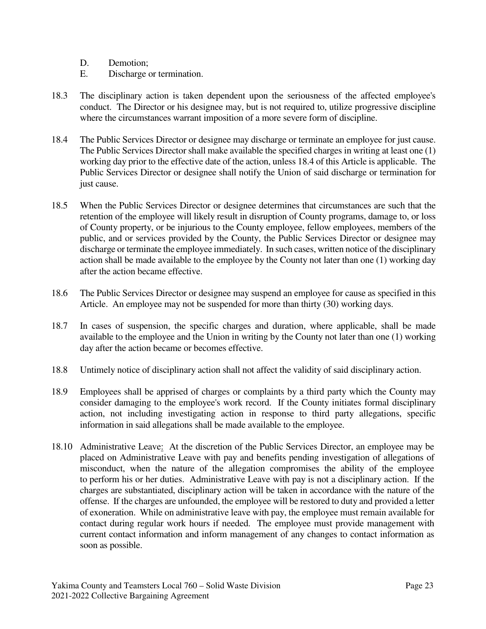- D. Demotion;
- E. Discharge or termination.
- 18.3 The disciplinary action is taken dependent upon the seriousness of the affected employee's conduct. The Director or his designee may, but is not required to, utilize progressive discipline where the circumstances warrant imposition of a more severe form of discipline.
- 18.4 The Public Services Director or designee may discharge or terminate an employee for just cause. The Public Services Director shall make available the specified charges in writing at least one (1) working day prior to the effective date of the action, unless 18.4 of this Article is applicable. The Public Services Director or designee shall notify the Union of said discharge or termination for just cause.
- 18.5 When the Public Services Director or designee determines that circumstances are such that the retention of the employee will likely result in disruption of County programs, damage to, or loss of County property, or be injurious to the County employee, fellow employees, members of the public, and or services provided by the County, the Public Services Director or designee may discharge or terminate the employee immediately. In such cases, written notice of the disciplinary action shall be made available to the employee by the County not later than one (1) working day after the action became effective.
- 18.6 The Public Services Director or designee may suspend an employee for cause as specified in this Article. An employee may not be suspended for more than thirty (30) working days.
- 18.7 In cases of suspension, the specific charges and duration, where applicable, shall be made available to the employee and the Union in writing by the County not later than one (1) working day after the action became or becomes effective.
- 18.8 Untimely notice of disciplinary action shall not affect the validity of said disciplinary action.
- 18.9 Employees shall be apprised of charges or complaints by a third party which the County may consider damaging to the employee's work record. If the County initiates formal disciplinary action, not including investigating action in response to third party allegations, specific information in said allegations shall be made available to the employee.
- 18.10 Administrative Leave: At the discretion of the Public Services Director, an employee may be placed on Administrative Leave with pay and benefits pending investigation of allegations of misconduct, when the nature of the allegation compromises the ability of the employee to perform his or her duties. Administrative Leave with pay is not a disciplinary action. If the charges are substantiated, disciplinary action will be taken in accordance with the nature of the offense. If the charges are unfounded, the employee will be restored to duty and provided a letter of exoneration. While on administrative leave with pay, the employee must remain available for contact during regular work hours if needed. The employee must provide management with current contact information and inform management of any changes to contact information as soon as possible.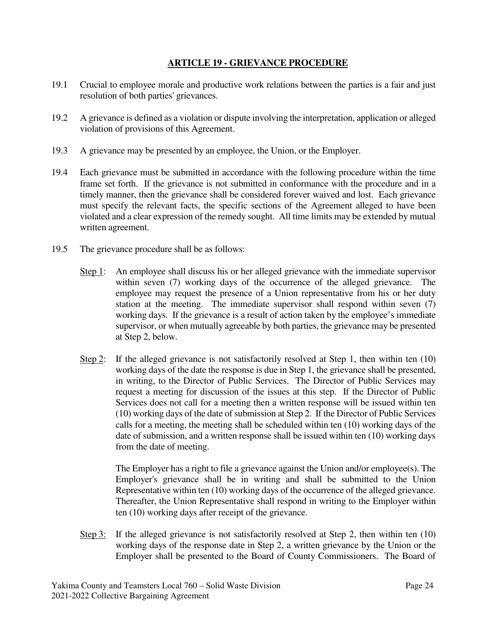### **ARTICLE 19 - GRIEVANCE PROCEDURE**

- 19.1 Crucial to employee morale and productive work relations between the parties is a fair and just resolution of both parties' grievances.
- 19.2 A grievance is defined as a violation or dispute involving the interpretation, application or alleged violation of provisions of this Agreement.
- 19.3 A grievance may be presented by an employee, the Union, or the Employer.
- 19.4 Each grievance must be submitted in accordance with the following procedure within the time frame set forth. If the grievance is not submitted in conformance with the procedure and in a timely manner, then the grievance shall be considered forever waived and lost. Each grievance must specify the relevant facts, the specific sections of the Agreement alleged to have been violated and a clear expression of the remedy sought. All time limits may be extended by mutual written agreement.
- 19.5 The grievance procedure shall be as follows:
	- Step 1: An employee shall discuss his or her alleged grievance with the immediate supervisor within seven (7) working days of the occurrence of the alleged grievance. The employee may request the presence of a Union representative from his or her duty station at the meeting. The immediate supervisor shall respond within seven (7) working days. If the grievance is a result of action taken by the employee's immediate supervisor, or when mutually agreeable by both parties, the grievance may be presented at Step 2, below.
	- Step 2: If the alleged grievance is not satisfactorily resolved at Step 1, then within ten (10) working days of the date the response is due in Step 1, the grievance shall be presented, in writing, to the Director of Public Services. The Director of Public Services may request a meeting for discussion of the issues at this step. If the Director of Public Services does not call for a meeting then a written response will be issued within ten (10) working days of the date of submission at Step 2. If the Director of Public Services calls for a meeting, the meeting shall be scheduled within ten (10) working days of the date of submission, and a written response shall be issued within ten (10) working days from the date of meeting.

 The Employer has a right to file a grievance against the Union and/or employee(s). The Employer's grievance shall be in writing and shall be submitted to the Union Representative within ten (10) working days of the occurrence of the alleged grievance. Thereafter, the Union Representative shall respond in writing to the Employer within ten (10) working days after receipt of the grievance.

Step 3: If the alleged grievance is not satisfactorily resolved at Step 2, then within ten (10) working days of the response date in Step 2, a written grievance by the Union or the Employer shall be presented to the Board of County Commissioners. The Board of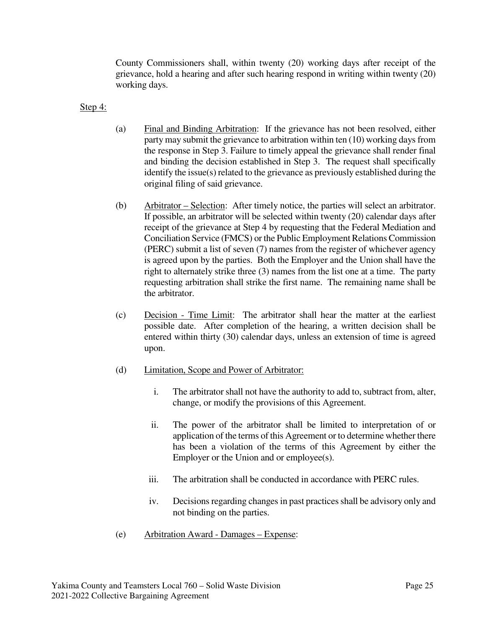County Commissioners shall, within twenty (20) working days after receipt of the grievance, hold a hearing and after such hearing respond in writing within twenty (20) working days.

Step 4:

- (a) Final and Binding Arbitration: If the grievance has not been resolved, either party may submit the grievance to arbitration within ten (10) working days from the response in Step 3. Failure to timely appeal the grievance shall render final and binding the decision established in Step 3. The request shall specifically identify the issue(s) related to the grievance as previously established during the original filing of said grievance.
- (b) Arbitrator Selection: After timely notice, the parties will select an arbitrator. If possible, an arbitrator will be selected within twenty (20) calendar days after receipt of the grievance at Step 4 by requesting that the Federal Mediation and Conciliation Service (FMCS) or the Public Employment Relations Commission (PERC) submit a list of seven (7) names from the register of whichever agency is agreed upon by the parties. Both the Employer and the Union shall have the right to alternately strike three (3) names from the list one at a time. The party requesting arbitration shall strike the first name. The remaining name shall be the arbitrator.
- (c) Decision Time Limit: The arbitrator shall hear the matter at the earliest possible date. After completion of the hearing, a written decision shall be entered within thirty (30) calendar days, unless an extension of time is agreed upon.
- (d) Limitation, Scope and Power of Arbitrator:
	- i. The arbitrator shall not have the authority to add to, subtract from, alter, change, or modify the provisions of this Agreement.
	- ii. The power of the arbitrator shall be limited to interpretation of or application of the terms of this Agreement or to determine whether there has been a violation of the terms of this Agreement by either the Employer or the Union and or employee(s).
	- iii. The arbitration shall be conducted in accordance with PERC rules.
	- iv. Decisions regarding changes in past practices shall be advisory only and not binding on the parties.
- (e) Arbitration Award Damages Expense: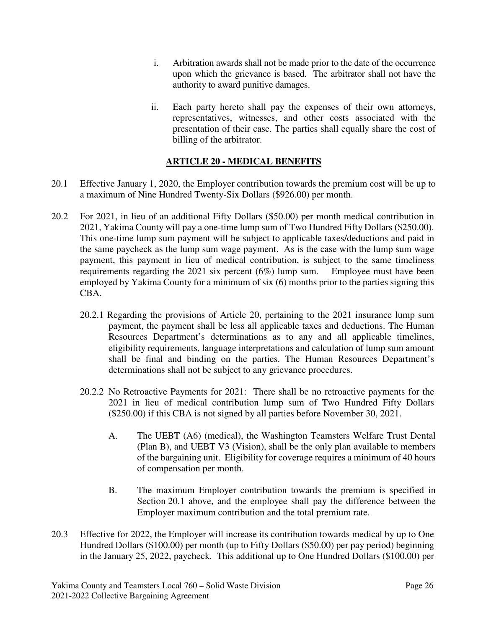- i. Arbitration awards shall not be made prior to the date of the occurrence upon which the grievance is based. The arbitrator shall not have the authority to award punitive damages.
- ii. Each party hereto shall pay the expenses of their own attorneys, representatives, witnesses, and other costs associated with the presentation of their case. The parties shall equally share the cost of billing of the arbitrator.

### **ARTICLE 20 - MEDICAL BENEFITS**

- 20.1 Effective January 1, 2020, the Employer contribution towards the premium cost will be up to a maximum of Nine Hundred Twenty-Six Dollars (\$926.00) per month.
- 20.2 For 2021, in lieu of an additional Fifty Dollars (\$50.00) per month medical contribution in 2021, Yakima County will pay a one-time lump sum of Two Hundred Fifty Dollars (\$250.00). This one-time lump sum payment will be subject to applicable taxes/deductions and paid in the same paycheck as the lump sum wage payment. As is the case with the lump sum wage payment, this payment in lieu of medical contribution, is subject to the same timeliness requirements regarding the 2021 six percent (6%) lump sum. Employee must have been employed by Yakima County for a minimum of six (6) months prior to the parties signing this CBA.
	- 20.2.1 Regarding the provisions of Article 20, pertaining to the 2021 insurance lump sum payment, the payment shall be less all applicable taxes and deductions. The Human Resources Department's determinations as to any and all applicable timelines, eligibility requirements, language interpretations and calculation of lump sum amount shall be final and binding on the parties. The Human Resources Department's determinations shall not be subject to any grievance procedures.
	- 20.2.2 No Retroactive Payments for 2021: There shall be no retroactive payments for the 2021 in lieu of medical contribution lump sum of Two Hundred Fifty Dollars (\$250.00) if this CBA is not signed by all parties before November 30, 2021.
		- A. The UEBT (A6) (medical), the Washington Teamsters Welfare Trust Dental (Plan B), and UEBT V3 (Vision), shall be the only plan available to members of the bargaining unit. Eligibility for coverage requires a minimum of 40 hours of compensation per month.
		- B. The maximum Employer contribution towards the premium is specified in Section 20.1 above, and the employee shall pay the difference between the Employer maximum contribution and the total premium rate.
- 20.3 Effective for 2022, the Employer will increase its contribution towards medical by up to One Hundred Dollars (\$100.00) per month (up to Fifty Dollars (\$50.00) per pay period) beginning in the January 25, 2022, paycheck. This additional up to One Hundred Dollars (\$100.00) per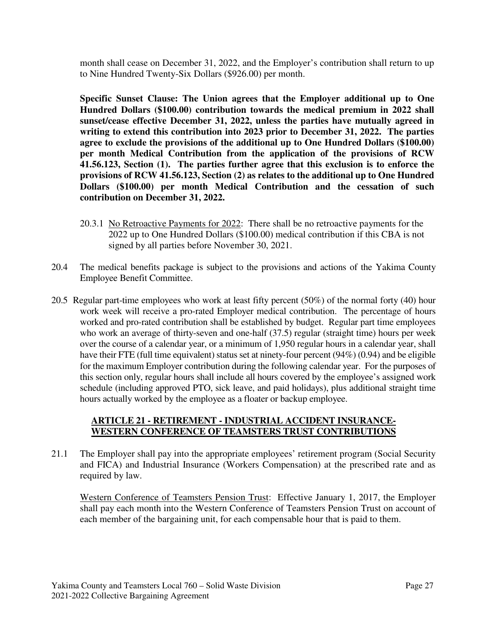month shall cease on December 31, 2022, and the Employer's contribution shall return to up to Nine Hundred Twenty-Six Dollars (\$926.00) per month.

**Specific Sunset Clause: The Union agrees that the Employer additional up to One Hundred Dollars (\$100.00) contribution towards the medical premium in 2022 shall sunset/cease effective December 31, 2022, unless the parties have mutually agreed in writing to extend this contribution into 2023 prior to December 31, 2022. The parties agree to exclude the provisions of the additional up to One Hundred Dollars (\$100.00) per month Medical Contribution from the application of the provisions of RCW 41.56.123, Section (1). The parties further agree that this exclusion is to enforce the provisions of RCW 41.56.123, Section (2) as relates to the additional up to One Hundred Dollars (\$100.00) per month Medical Contribution and the cessation of such contribution on December 31, 2022.** 

- 20.3.1 No Retroactive Payments for 2022: There shall be no retroactive payments for the 2022 up to One Hundred Dollars (\$100.00) medical contribution if this CBA is not signed by all parties before November 30, 2021.
- 20.4 The medical benefits package is subject to the provisions and actions of the Yakima County Employee Benefit Committee.
- 20.5 Regular part-time employees who work at least fifty percent (50%) of the normal forty (40) hour work week will receive a pro-rated Employer medical contribution. The percentage of hours worked and pro-rated contribution shall be established by budget. Regular part time employees who work an average of thirty-seven and one-half (37.5) regular (straight time) hours per week over the course of a calendar year, or a minimum of 1,950 regular hours in a calendar year, shall have their FTE (full time equivalent) status set at ninety-four percent (94%) (0.94) and be eligible for the maximum Employer contribution during the following calendar year. For the purposes of this section only, regular hours shall include all hours covered by the employee's assigned work schedule (including approved PTO, sick leave, and paid holidays), plus additional straight time hours actually worked by the employee as a floater or backup employee.

### **ARTICLE 21 - RETIREMENT - INDUSTRIAL ACCIDENT INSURANCE-WESTERN CONFERENCE OF TEAMSTERS TRUST CONTRIBUTIONS**

21.1 The Employer shall pay into the appropriate employees' retirement program (Social Security and FICA) and Industrial Insurance (Workers Compensation) at the prescribed rate and as required by law.

Western Conference of Teamsters Pension Trust: Effective January 1, 2017, the Employer shall pay each month into the Western Conference of Teamsters Pension Trust on account of each member of the bargaining unit, for each compensable hour that is paid to them.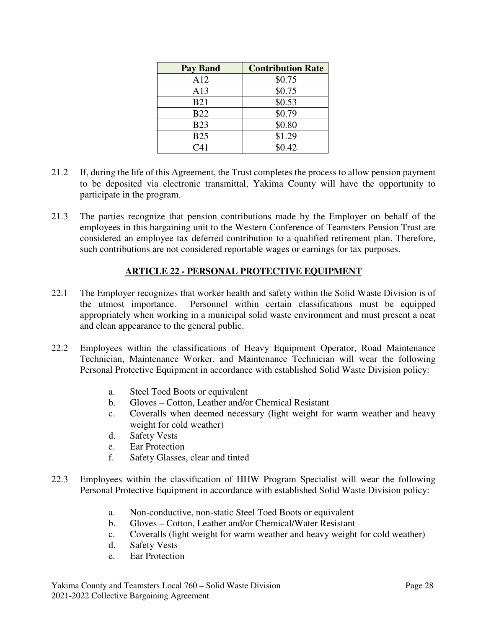| <b>Pay Band</b> | <b>Contribution Rate</b> |
|-----------------|--------------------------|
| A12             | \$0.75                   |
| A13             | \$0.75                   |
| <b>B21</b>      | \$0.53                   |
| <b>B22</b>      | \$0.79                   |
| <b>B23</b>      | \$0.80                   |
| <b>B25</b>      | \$1.29                   |
| C <sub>41</sub> | \$0.42                   |

- 21.2 If, during the life of this Agreement, the Trust completes the process to allow pension payment to be deposited via electronic transmittal, Yakima County will have the opportunity to participate in the program.
- 21.3 The parties recognize that pension contributions made by the Employer on behalf of the employees in this bargaining unit to the Western Conference of Teamsters Pension Trust are considered an employee tax deferred contribution to a qualified retirement plan. Therefore, such contributions are not considered reportable wages or earnings for tax purposes.

## **ARTICLE 22 - PERSONAL PROTECTIVE EQUIPMENT**

- 22.1 The Employer recognizes that worker health and safety within the Solid Waste Division is of the utmost importance. Personnel within certain classifications must be equipped appropriately when working in a municipal solid waste environment and must present a neat and clean appearance to the general public.
- 22.2 Employees within the classifications of Heavy Equipment Operator, Road Maintenance Technician, Maintenance Worker, and Maintenance Technician will wear the following Personal Protective Equipment in accordance with established Solid Waste Division policy:
	- a. Steel Toed Boots or equivalent
	- b. Gloves Cotton, Leather and/or Chemical Resistant
	- c. Coveralls when deemed necessary (light weight for warm weather and heavy weight for cold weather)
	- d. Safety Vests
	- e. Ear Protection
	- f. Safety Glasses, clear and tinted
- 22.3 Employees within the classification of HHW Program Specialist will wear the following Personal Protective Equipment in accordance with established Solid Waste Division policy:
	- a. Non-conductive, non-static Steel Toed Boots or equivalent
	- b. Gloves Cotton, Leather and/or Chemical/Water Resistant
	- c. Coveralls (light weight for warm weather and heavy weight for cold weather)
	- d. Safety Vests
	- e. Ear Protection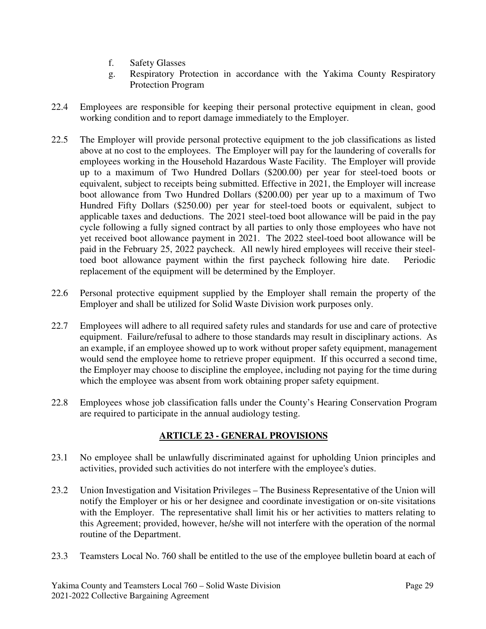- f. Safety Glasses
- g. Respiratory Protection in accordance with the Yakima County Respiratory Protection Program
- 22.4 Employees are responsible for keeping their personal protective equipment in clean, good working condition and to report damage immediately to the Employer.
- 22.5 The Employer will provide personal protective equipment to the job classifications as listed above at no cost to the employees. The Employer will pay for the laundering of coveralls for employees working in the Household Hazardous Waste Facility. The Employer will provide up to a maximum of Two Hundred Dollars (\$200.00) per year for steel-toed boots or equivalent, subject to receipts being submitted. Effective in 2021, the Employer will increase boot allowance from Two Hundred Dollars (\$200.00) per year up to a maximum of Two Hundred Fifty Dollars (\$250.00) per year for steel-toed boots or equivalent, subject to applicable taxes and deductions. The 2021 steel-toed boot allowance will be paid in the pay cycle following a fully signed contract by all parties to only those employees who have not yet received boot allowance payment in 2021. The 2022 steel-toed boot allowance will be paid in the February 25, 2022 paycheck. All newly hired employees will receive their steeltoed boot allowance payment within the first paycheck following hire date. Periodic replacement of the equipment will be determined by the Employer.
- 22.6 Personal protective equipment supplied by the Employer shall remain the property of the Employer and shall be utilized for Solid Waste Division work purposes only.
- 22.7 Employees will adhere to all required safety rules and standards for use and care of protective equipment. Failure/refusal to adhere to those standards may result in disciplinary actions. As an example, if an employee showed up to work without proper safety equipment, management would send the employee home to retrieve proper equipment. If this occurred a second time, the Employer may choose to discipline the employee, including not paying for the time during which the employee was absent from work obtaining proper safety equipment.
- 22.8 Employees whose job classification falls under the County's Hearing Conservation Program are required to participate in the annual audiology testing.

## **ARTICLE 23 - GENERAL PROVISIONS**

- 23.1 No employee shall be unlawfully discriminated against for upholding Union principles and activities, provided such activities do not interfere with the employee's duties.
- 23.2 Union Investigation and Visitation Privileges The Business Representative of the Union will notify the Employer or his or her designee and coordinate investigation or on-site visitations with the Employer. The representative shall limit his or her activities to matters relating to this Agreement; provided, however, he/she will not interfere with the operation of the normal routine of the Department.
- 23.3 Teamsters Local No. 760 shall be entitled to the use of the employee bulletin board at each of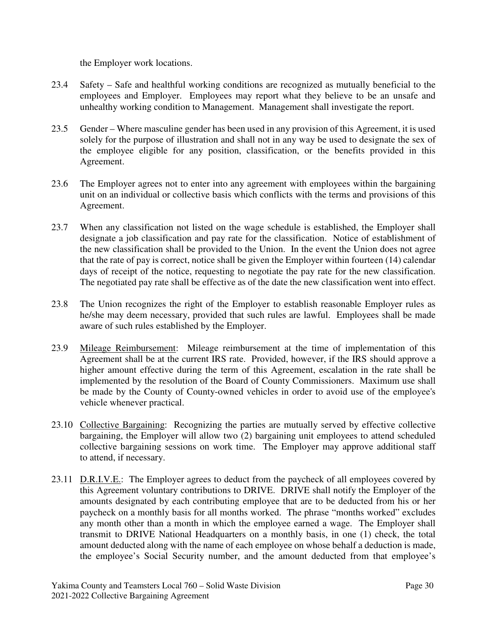the Employer work locations.

- 23.4 Safety Safe and healthful working conditions are recognized as mutually beneficial to the employees and Employer. Employees may report what they believe to be an unsafe and unhealthy working condition to Management. Management shall investigate the report.
- 23.5 Gender Where masculine gender has been used in any provision of this Agreement, it is used solely for the purpose of illustration and shall not in any way be used to designate the sex of the employee eligible for any position, classification, or the benefits provided in this Agreement.
- 23.6 The Employer agrees not to enter into any agreement with employees within the bargaining unit on an individual or collective basis which conflicts with the terms and provisions of this Agreement.
- 23.7 When any classification not listed on the wage schedule is established, the Employer shall designate a job classification and pay rate for the classification. Notice of establishment of the new classification shall be provided to the Union. In the event the Union does not agree that the rate of pay is correct, notice shall be given the Employer within fourteen (14) calendar days of receipt of the notice, requesting to negotiate the pay rate for the new classification. The negotiated pay rate shall be effective as of the date the new classification went into effect.
- 23.8 The Union recognizes the right of the Employer to establish reasonable Employer rules as he/she may deem necessary, provided that such rules are lawful. Employees shall be made aware of such rules established by the Employer.
- 23.9 Mileage Reimbursement: Mileage reimbursement at the time of implementation of this Agreement shall be at the current IRS rate. Provided, however, if the IRS should approve a higher amount effective during the term of this Agreement, escalation in the rate shall be implemented by the resolution of the Board of County Commissioners. Maximum use shall be made by the County of County-owned vehicles in order to avoid use of the employee's vehicle whenever practical.
- 23.10 Collective Bargaining: Recognizing the parties are mutually served by effective collective bargaining, the Employer will allow two (2) bargaining unit employees to attend scheduled collective bargaining sessions on work time. The Employer may approve additional staff to attend, if necessary.
- 23.11 D.R.I.V.E.: The Employer agrees to deduct from the paycheck of all employees covered by this Agreement voluntary contributions to DRIVE. DRIVE shall notify the Employer of the amounts designated by each contributing employee that are to be deducted from his or her paycheck on a monthly basis for all months worked. The phrase "months worked" excludes any month other than a month in which the employee earned a wage. The Employer shall transmit to DRIVE National Headquarters on a monthly basis, in one (1) check, the total amount deducted along with the name of each employee on whose behalf a deduction is made, the employee's Social Security number, and the amount deducted from that employee's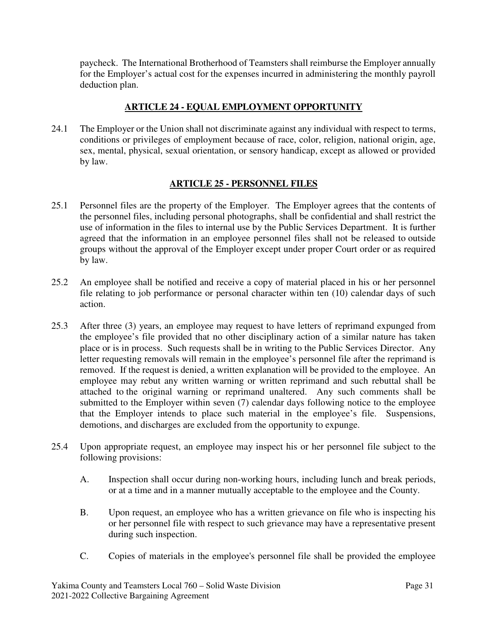paycheck. The International Brotherhood of Teamsters shall reimburse the Employer annually for the Employer's actual cost for the expenses incurred in administering the monthly payroll deduction plan.

### **ARTICLE 24 - EQUAL EMPLOYMENT OPPORTUNITY**

24.1 The Employer or the Union shall not discriminate against any individual with respect to terms, conditions or privileges of employment because of race, color, religion, national origin, age, sex, mental, physical, sexual orientation, or sensory handicap, except as allowed or provided by law.

### **ARTICLE 25 - PERSONNEL FILES**

- 25.1 Personnel files are the property of the Employer. The Employer agrees that the contents of the personnel files, including personal photographs, shall be confidential and shall restrict the use of information in the files to internal use by the Public Services Department. It is further agreed that the information in an employee personnel files shall not be released to outside groups without the approval of the Employer except under proper Court order or as required by law.
- 25.2 An employee shall be notified and receive a copy of material placed in his or her personnel file relating to job performance or personal character within ten (10) calendar days of such action.
- 25.3 After three (3) years, an employee may request to have letters of reprimand expunged from the employee's file provided that no other disciplinary action of a similar nature has taken place or is in process. Such requests shall be in writing to the Public Services Director. Any letter requesting removals will remain in the employee's personnel file after the reprimand is removed. If the request is denied, a written explanation will be provided to the employee. An employee may rebut any written warning or written reprimand and such rebuttal shall be attached to the original warning or reprimand unaltered. Any such comments shall be submitted to the Employer within seven (7) calendar days following notice to the employee that the Employer intends to place such material in the employee's file. Suspensions, demotions, and discharges are excluded from the opportunity to expunge.
- 25.4 Upon appropriate request, an employee may inspect his or her personnel file subject to the following provisions:
	- A. Inspection shall occur during non-working hours, including lunch and break periods, or at a time and in a manner mutually acceptable to the employee and the County.
	- B. Upon request, an employee who has a written grievance on file who is inspecting his or her personnel file with respect to such grievance may have a representative present during such inspection.
	- C. Copies of materials in the employee's personnel file shall be provided the employee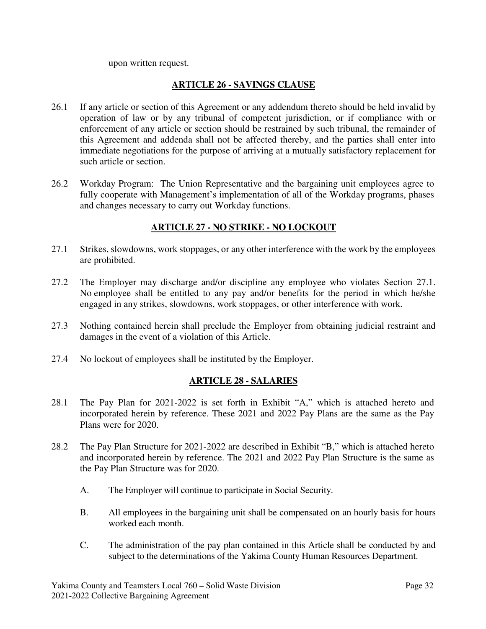upon written request.

### **ARTICLE 26 - SAVINGS CLAUSE**

- 26.1 If any article or section of this Agreement or any addendum thereto should be held invalid by operation of law or by any tribunal of competent jurisdiction, or if compliance with or enforcement of any article or section should be restrained by such tribunal, the remainder of this Agreement and addenda shall not be affected thereby, and the parties shall enter into immediate negotiations for the purpose of arriving at a mutually satisfactory replacement for such article or section.
- 26.2 Workday Program: The Union Representative and the bargaining unit employees agree to fully cooperate with Management's implementation of all of the Workday programs, phases and changes necessary to carry out Workday functions.

### **ARTICLE 27 - NO STRIKE - NO LOCKOUT**

- 27.1 Strikes, slowdowns, work stoppages, or any other interference with the work by the employees are prohibited.
- 27.2 The Employer may discharge and/or discipline any employee who violates Section 27.1. No employee shall be entitled to any pay and/or benefits for the period in which he/she engaged in any strikes, slowdowns, work stoppages, or other interference with work.
- 27.3 Nothing contained herein shall preclude the Employer from obtaining judicial restraint and damages in the event of a violation of this Article.
- 27.4 No lockout of employees shall be instituted by the Employer.

### **ARTICLE 28 - SALARIES**

- 28.1 The Pay Plan for 2021-2022 is set forth in Exhibit "A," which is attached hereto and incorporated herein by reference. These 2021 and 2022 Pay Plans are the same as the Pay Plans were for 2020.
- 28.2 The Pay Plan Structure for 2021-2022 are described in Exhibit "B," which is attached hereto and incorporated herein by reference. The 2021 and 2022 Pay Plan Structure is the same as the Pay Plan Structure was for 2020.
	- A. The Employer will continue to participate in Social Security.
	- B. All employees in the bargaining unit shall be compensated on an hourly basis for hours worked each month.
	- C. The administration of the pay plan contained in this Article shall be conducted by and subject to the determinations of the Yakima County Human Resources Department.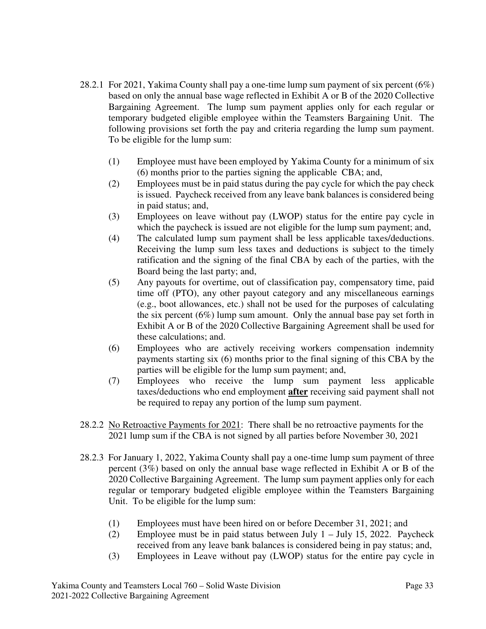- 28.2.1For 2021, Yakima County shall pay a one-time lump sum payment of six percent (6%) based on only the annual base wage reflected in Exhibit A or B of the 2020 Collective Bargaining Agreement. The lump sum payment applies only for each regular or temporary budgeted eligible employee within the Teamsters Bargaining Unit. The following provisions set forth the pay and criteria regarding the lump sum payment. To be eligible for the lump sum:
	- (1) Employee must have been employed by Yakima County for a minimum of six (6) months prior to the parties signing the applicable CBA; and,
	- (2) Employees must be in paid status during the pay cycle for which the pay check is issued. Paycheck received from any leave bank balances is considered being in paid status; and,
	- (3) Employees on leave without pay (LWOP) status for the entire pay cycle in which the paycheck is issued are not eligible for the lump sum payment; and,
	- (4) The calculated lump sum payment shall be less applicable taxes/deductions. Receiving the lump sum less taxes and deductions is subject to the timely ratification and the signing of the final CBA by each of the parties, with the Board being the last party; and,
	- (5) Any payouts for overtime, out of classification pay, compensatory time, paid time off (PTO), any other payout category and any miscellaneous earnings (e.g., boot allowances, etc.) shall not be used for the purposes of calculating the six percent (6%) lump sum amount. Only the annual base pay set forth in Exhibit A or B of the 2020 Collective Bargaining Agreement shall be used for these calculations; and.
	- (6) Employees who are actively receiving workers compensation indemnity payments starting six (6) months prior to the final signing of this CBA by the parties will be eligible for the lump sum payment; and,
	- (7) Employees who receive the lump sum payment less applicable taxes/deductions who end employment **after** receiving said payment shall not be required to repay any portion of the lump sum payment.
- 28.2.2 No Retroactive Payments for 2021: There shall be no retroactive payments for the 2021 lump sum if the CBA is not signed by all parties before November 30, 2021
- 28.2.3 For January 1, 2022, Yakima County shall pay a one-time lump sum payment of three percent (3%) based on only the annual base wage reflected in Exhibit A or B of the 2020 Collective Bargaining Agreement. The lump sum payment applies only for each regular or temporary budgeted eligible employee within the Teamsters Bargaining Unit. To be eligible for the lump sum:
	- (1) Employees must have been hired on or before December 31, 2021; and
	- (2) Employee must be in paid status between July  $1 -$  July 15, 2022. Paycheck received from any leave bank balances is considered being in pay status; and,
	- (3) Employees in Leave without pay (LWOP) status for the entire pay cycle in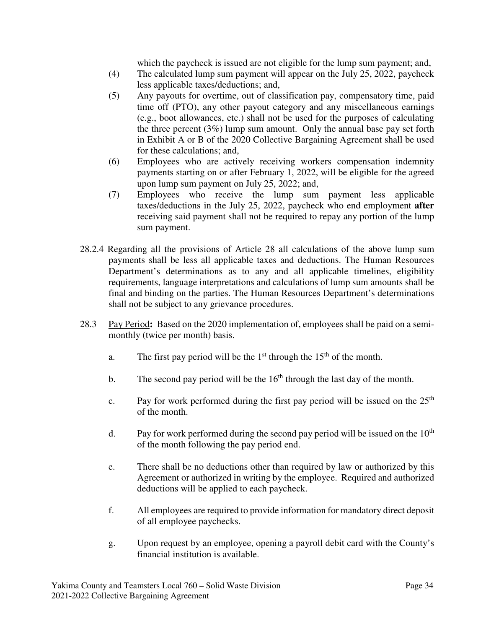which the paycheck is issued are not eligible for the lump sum payment; and,

- (4) The calculated lump sum payment will appear on the July 25, 2022, paycheck less applicable taxes/deductions; and,
- (5) Any payouts for overtime, out of classification pay, compensatory time, paid time off (PTO), any other payout category and any miscellaneous earnings (e.g., boot allowances, etc.) shall not be used for the purposes of calculating the three percent (3%) lump sum amount. Only the annual base pay set forth in Exhibit A or B of the 2020 Collective Bargaining Agreement shall be used for these calculations; and,
- (6) Employees who are actively receiving workers compensation indemnity payments starting on or after February 1, 2022, will be eligible for the agreed upon lump sum payment on July 25, 2022; and,
- (7) Employees who receive the lump sum payment less applicable taxes/deductions in the July 25, 2022, paycheck who end employment **after**  receiving said payment shall not be required to repay any portion of the lump sum payment.
- 28.2.4 Regarding all the provisions of Article 28 all calculations of the above lump sum payments shall be less all applicable taxes and deductions. The Human Resources Department's determinations as to any and all applicable timelines, eligibility requirements, language interpretations and calculations of lump sum amounts shall be final and binding on the parties. The Human Resources Department's determinations shall not be subject to any grievance procedures.
- 28.3 Pay Period**:** Based on the 2020 implementation of, employees shall be paid on a semimonthly (twice per month) basis.
	- a. The first pay period will be the  $1<sup>st</sup>$  through the  $15<sup>th</sup>$  of the month.
	- b. The second pay period will be the  $16<sup>th</sup>$  through the last day of the month.
	- c. Pay for work performed during the first pay period will be issued on the  $25<sup>th</sup>$ of the month.
	- d. Pay for work performed during the second pay period will be issued on the  $10<sup>th</sup>$ of the month following the pay period end.
	- e. There shall be no deductions other than required by law or authorized by this Agreement or authorized in writing by the employee. Required and authorized deductions will be applied to each paycheck.
	- f. All employees are required to provide information for mandatory direct deposit of all employee paychecks.
	- g. Upon request by an employee, opening a payroll debit card with the County's financial institution is available.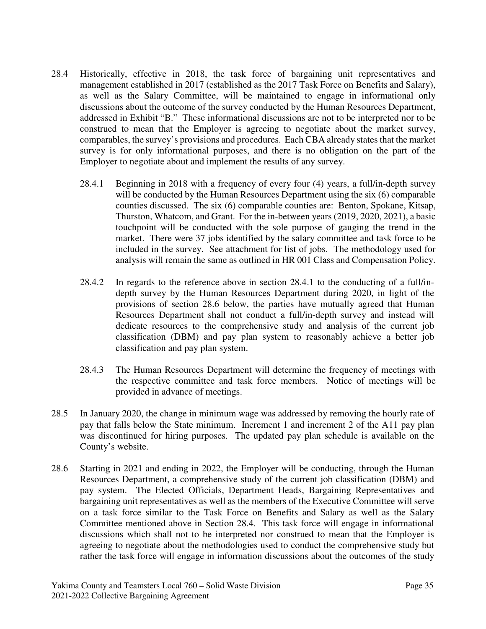- 28.4 Historically, effective in 2018, the task force of bargaining unit representatives and management established in 2017 (established as the 2017 Task Force on Benefits and Salary), as well as the Salary Committee, will be maintained to engage in informational only discussions about the outcome of the survey conducted by the Human Resources Department, addressed in Exhibit "B." These informational discussions are not to be interpreted nor to be construed to mean that the Employer is agreeing to negotiate about the market survey, comparables, the survey's provisions and procedures. Each CBA already states that the market survey is for only informational purposes, and there is no obligation on the part of the Employer to negotiate about and implement the results of any survey.
	- 28.4.1 Beginning in 2018 with a frequency of every four (4) years, a full/in-depth survey will be conducted by the Human Resources Department using the six (6) comparable counties discussed. The six (6) comparable counties are: Benton, Spokane, Kitsap, Thurston, Whatcom, and Grant. For the in-between years (2019, 2020, 2021), a basic touchpoint will be conducted with the sole purpose of gauging the trend in the market. There were 37 jobs identified by the salary committee and task force to be included in the survey. See attachment for list of jobs. The methodology used for analysis will remain the same as outlined in HR 001 Class and Compensation Policy.
	- 28.4.2 In regards to the reference above in section 28.4.1 to the conducting of a full/indepth survey by the Human Resources Department during 2020, in light of the provisions of section 28.6 below, the parties have mutually agreed that Human Resources Department shall not conduct a full/in-depth survey and instead will dedicate resources to the comprehensive study and analysis of the current job classification (DBM) and pay plan system to reasonably achieve a better job classification and pay plan system.
	- 28.4.3 The Human Resources Department will determine the frequency of meetings with the respective committee and task force members. Notice of meetings will be provided in advance of meetings.
- 28.5 In January 2020, the change in minimum wage was addressed by removing the hourly rate of pay that falls below the State minimum. Increment 1 and increment 2 of the A11 pay plan was discontinued for hiring purposes. The updated pay plan schedule is available on the County's website.
- 28.6 Starting in 2021 and ending in 2022, the Employer will be conducting, through the Human Resources Department, a comprehensive study of the current job classification (DBM) and pay system. The Elected Officials, Department Heads, Bargaining Representatives and bargaining unit representatives as well as the members of the Executive Committee will serve on a task force similar to the Task Force on Benefits and Salary as well as the Salary Committee mentioned above in Section 28.4. This task force will engage in informational discussions which shall not to be interpreted nor construed to mean that the Employer is agreeing to negotiate about the methodologies used to conduct the comprehensive study but rather the task force will engage in information discussions about the outcomes of the study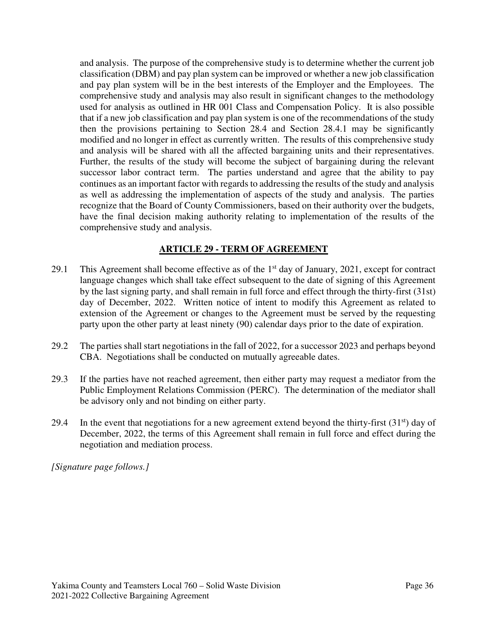and analysis. The purpose of the comprehensive study is to determine whether the current job classification (DBM) and pay plan system can be improved or whether a new job classification and pay plan system will be in the best interests of the Employer and the Employees. The comprehensive study and analysis may also result in significant changes to the methodology used for analysis as outlined in HR 001 Class and Compensation Policy. It is also possible that if a new job classification and pay plan system is one of the recommendations of the study then the provisions pertaining to Section 28.4 and Section 28.4.1 may be significantly modified and no longer in effect as currently written. The results of this comprehensive study and analysis will be shared with all the affected bargaining units and their representatives. Further, the results of the study will become the subject of bargaining during the relevant successor labor contract term. The parties understand and agree that the ability to pay continues as an important factor with regards to addressing the results of the study and analysis as well as addressing the implementation of aspects of the study and analysis. The parties recognize that the Board of County Commissioners, based on their authority over the budgets, have the final decision making authority relating to implementation of the results of the comprehensive study and analysis.

### **ARTICLE 29 - TERM OF AGREEMENT**

- 29.1 This Agreement shall become effective as of the  $1<sup>st</sup>$  day of January, 2021, except for contract language changes which shall take effect subsequent to the date of signing of this Agreement by the last signing party, and shall remain in full force and effect through the thirty-first (31st) day of December, 2022. Written notice of intent to modify this Agreement as related to extension of the Agreement or changes to the Agreement must be served by the requesting party upon the other party at least ninety (90) calendar days prior to the date of expiration.
- 29.2 The parties shall start negotiations in the fall of 2022, for a successor 2023 and perhaps beyond CBA. Negotiations shall be conducted on mutually agreeable dates.
- 29.3 If the parties have not reached agreement, then either party may request a mediator from the Public Employment Relations Commission (PERC). The determination of the mediator shall be advisory only and not binding on either party.
- 29.4 In the event that negotiations for a new agreement extend beyond the thirty-first  $(31<sup>st</sup>)$  day of December, 2022, the terms of this Agreement shall remain in full force and effect during the negotiation and mediation process.

*[Signature page follows.]*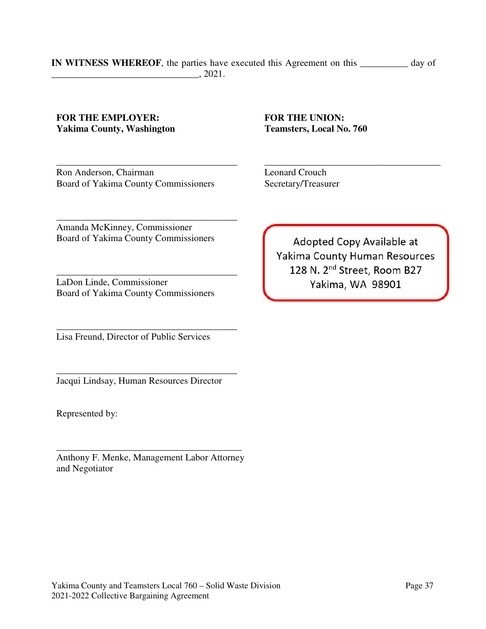#### **IN WITNESS WHEREOF**, the parties have executed this Agreement on this **\_\_\_\_\_\_\_\_\_\_** day of \_\_\_\_\_\_\_\_\_\_\_\_\_\_\_\_\_\_\_\_\_\_\_\_\_\_\_\_\_\_\_, 2021.

#### **FOR THE EMPLOYER: Yakima County, Washington**

\_\_\_\_\_\_\_\_\_\_\_\_\_\_\_\_\_\_\_\_\_\_\_\_\_\_\_\_\_\_\_\_\_\_\_\_\_\_ Ron Anderson, Chairman Board of Yakima County Commissioners

Amanda McKinney, Commissioner Board of Yakima County Commissioners

\_\_\_\_\_\_\_\_\_\_\_\_\_\_\_\_\_\_\_\_\_\_\_\_\_\_\_\_\_\_\_\_\_\_\_\_\_\_

\_\_\_\_\_\_\_\_\_\_\_\_\_\_\_\_\_\_\_\_\_\_\_\_\_\_\_\_\_\_\_\_\_\_\_\_\_\_ LaDon Linde, Commissioner Board of Yakima County Commissioners

Lisa Freund, Director of Public Services

\_\_\_\_\_\_\_\_\_\_\_\_\_\_\_\_\_\_\_\_\_\_\_\_\_\_\_\_\_\_\_\_\_\_\_\_\_\_

\_\_\_\_\_\_\_\_\_\_\_\_\_\_\_\_\_\_\_\_\_\_\_\_\_\_\_\_\_\_\_\_\_\_\_\_\_\_ Jacqui Lindsay, Human Resources Director

Represented by:

\_\_\_\_\_\_\_\_\_\_\_\_\_\_\_\_\_\_\_\_\_\_\_\_\_\_\_\_\_\_\_\_\_\_\_\_\_\_\_ Anthony F. Menke, Management Labor Attorney and Negotiator

**FOR THE UNION: Teamsters, Local No. 760** 

\_\_\_\_\_\_\_\_\_\_\_\_\_\_\_\_\_\_\_\_\_\_\_\_\_\_\_\_\_\_\_\_\_\_\_\_\_ Leonard Crouch Secretary/Treasurer

Adopted Copy Available at Yakima County Human Resources 128 N. 2<sup>nd</sup> Street, Room B27 Yakima, WA 98901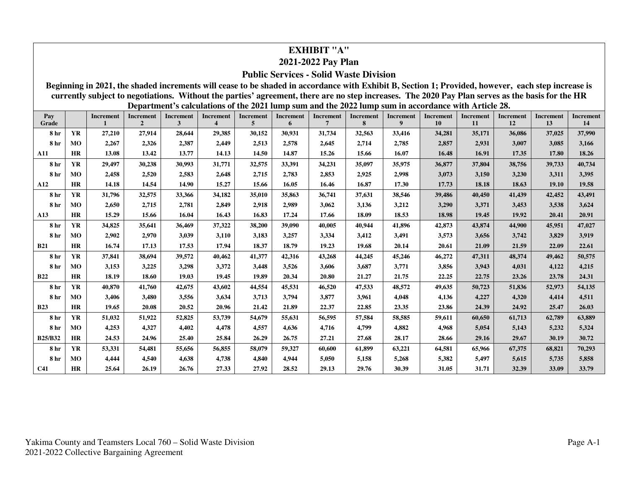## **EXHIBIT "A"**

### **2021-2022 Pay Plan**

#### **Public Services - Solid Waste Division**

**Beginning in 2021, the shaded increments will cease to be shaded in accordance with Exhibit B, Section 1; Provided, however, each step increase is currently subject to negotiations. Without the parties' agreement, there are no step increases. The 2020 Pay Plan serves as the basis for the HR Department's calculations of the 2021 lump sum and the 2022 lump sum in accordance with Article 28.** 

| Pay<br>Grade    |           | Increment | Increment<br>$\overline{2}$ | <b>Increment</b><br>$\mathbf{3}$ | Increment<br>4 | <b>Increment</b><br>5 | Increment<br>6 | Increment<br>7 | Increment<br>8 | Increment<br>9 | <b>Increment</b><br>10 | <b>Increment</b><br>11 | <b>Increment</b><br>12 | <b>Increment</b><br>13 | <b>Increment</b><br>14 |
|-----------------|-----------|-----------|-----------------------------|----------------------------------|----------------|-----------------------|----------------|----------------|----------------|----------------|------------------------|------------------------|------------------------|------------------------|------------------------|
| 8 hr            | <b>YR</b> | 27,210    | 27,914                      | 28,644                           | 29,385         | 30,152                | 30,931         | 31,734         | 32,563         | 33,416         | 34,281                 | 35,171                 | 36,086                 | 37,025                 | 37,990                 |
| <b>8</b> hr     | MO        | 2,267     | 2,326                       | 2,387                            | 2,449          | 2,513                 | 2,578          | 2,645          | 2,714          | 2,785          | 2,857                  | 2,931                  | 3,007                  | 3,085                  | 3,166                  |
| A11             | <b>HR</b> | 13.08     | 13.42                       | 13.77                            | 14.13          | 14.50                 | 14.87          | 15.26          | 15.66          | 16.07          | 16.48                  | 16.91                  | 17.35                  | 17.80                  | 18.26                  |
| 8 <sub>hr</sub> | <b>YR</b> | 29,497    | 30,238                      | 30,993                           | 31,771         | 32,575                | 33,391         | 34,231         | 35,097         | 35,975         | 36,877                 | 37,804                 | 38,756                 | 39,733                 | 40,734                 |
| 8 hr            | MO        | 2,458     | 2,520                       | 2,583                            | 2,648          | 2,715                 | 2,783          | 2,853          | 2,925          | 2,998          | 3,073                  | 3,150                  | 3,230                  | 3,311                  | 3,395                  |
| A12             | <b>HR</b> | 14.18     | 14.54                       | 14.90                            | 15.27          | 15.66                 | 16.05          | 16.46          | 16.87          | 17.30          | 17.73                  | 18.18                  | 18.63                  | 19.10                  | 19.58                  |
| 8 hr            | <b>YR</b> | 31,796    | 32,575                      | 33,366                           | 34,182         | 35,010                | 35,863         | 36,741         | 37,631         | 38,546         | 39,486                 | 40,450                 | 41,439                 | 42,452                 | 43,491                 |
| 8 hr            | MO        | 2,650     | 2,715                       | 2,781                            | 2,849          | 2,918                 | 2,989          | 3,062          | 3,136          | 3,212          | 3,290                  | 3,371                  | 3,453                  | 3,538                  | 3,624                  |
| A13             | <b>HR</b> | 15.29     | 15.66                       | 16.04                            | 16.43          | 16.83                 | 17.24          | 17.66          | 18.09          | 18.53          | 18.98                  | 19.45                  | 19.92                  | 20.41                  | 20.91                  |
| 8 hr            | YR        | 34,825    | 35,641                      | 36,469                           | 37,322         | 38,200                | 39,090         | 40,005         | 40,944         | 41,896         | 42,873                 | 43,874                 | 44,900                 | 45,951                 | 47,027                 |
| 8 <sub>hr</sub> | MO        | 2,902     | 2,970                       | 3,039                            | 3,110          | 3,183                 | 3,257          | 3,334          | 3,412          | 3,491          | 3,573                  | 3,656                  | 3,742                  | 3,829                  | 3,919                  |
| <b>B21</b>      | <b>HR</b> | 16.74     | 17.13                       | 17.53                            | 17.94          | 18.37                 | 18.79          | 19.23          | 19.68          | 20.14          | 20.61                  | 21.09                  | 21.59                  | 22.09                  | 22.61                  |
| 8 <sub>hr</sub> | <b>YR</b> | 37,841    | 38,694                      | 39,572                           | 40,462         | 41,377                | 42,316         | 43,268         | 44,245         | 45,246         | 46,272                 | 47,311                 | 48,374                 | 49,462                 | 50,575                 |
| 8 hr            | MO        | 3,153     | 3,225                       | 3,298                            | 3,372          | 3,448                 | 3,526          | 3,606          | 3,687          | 3,771          | 3,856                  | 3,943                  | 4,031                  | 4,122                  | 4,215                  |
| <b>B22</b>      | HR        | 18.19     | 18.60                       | 19.03                            | 19.45          | 19.89                 | 20.34          | 20.80          | 21.27          | 21.75          | 22.25                  | 22.75                  | 23.26                  | 23.78                  | 24.31                  |
| 8 hr            | <b>YR</b> | 40,870    | 41,760                      | 42,675                           | 43,602         | 44,554                | 45,531         | 46,520         | 47,533         | 48,572         | 49,635                 | 50,723                 | 51,836                 | 52,973                 | 54,135                 |
| 8 hr            | MO        | 3,406     | 3,480                       | 3,556                            | 3,634          | 3,713                 | 3,794          | 3,877          | 3,961          | 4,048          | 4,136                  | 4,227                  | 4,320                  | 4,414                  | 4,511                  |
| <b>B23</b>      | <b>HR</b> | 19.65     | 20.08                       | 20.52                            | 20.96          | 21.42                 | 21.89          | 22.37          | 22.85          | 23.35          | 23.86                  | 24.39                  | 24.92                  | 25.47                  | 26.03                  |
| 8 hr            | <b>YR</b> | 51,032    | 51,922                      | 52,825                           | 53,739         | 54,679                | 55,631         | 56,595         | 57,584         | 58,585         | 59,611                 | 60,650                 | 61,713                 | 62,789                 | 63,889                 |
| 8 hr            | MO        | 4,253     | 4,327                       | 4,402                            | 4,478          | 4,557                 | 4,636          | 4,716          | 4,799          | 4,882          | 4,968                  | 5,054                  | 5,143                  | 5,232                  | 5,324                  |
| <b>B25/B32</b>  | <b>HR</b> | 24.53     | 24.96                       | 25.40                            | 25.84          | 26.29                 | 26.75          | 27.21          | 27.68          | 28.17          | 28.66                  | 29.16                  | 29.67                  | 30.19                  | 30.72                  |
| 8 hr            | YR        | 53,331    | 54,481                      | 55,656                           | 56,855         | 58,079                | 59,327         | 60,600         | 61,899         | 63,221         | 64,581                 | 65,966                 | 67,375                 | 68,821                 | 70,293                 |
| 8 hr            | MO        | 4,444     | 4,540                       | 4,638                            | 4,738          | 4,840                 | 4,944          | 5,050          | 5,158          | 5,268          | 5,382                  | 5,497                  | 5,615                  | 5,735                  | 5,858                  |
| <b>C41</b>      | HR        | 25.64     | 26.19                       | 26.76                            | 27.33          | 27.92                 | 28.52          | 29.13          | 29.76          | 30.39          | 31.05                  | 31.71                  | 32.39                  | 33.09                  | 33.79                  |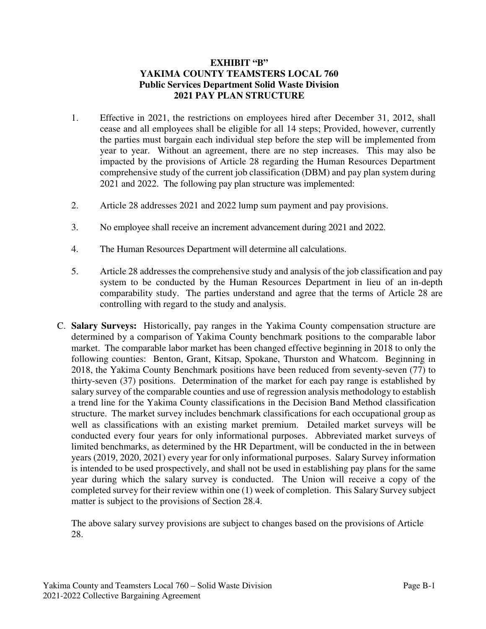### **EXHIBIT "B" YAKIMA COUNTY TEAMSTERS LOCAL 760 Public Services Department Solid Waste Division 2021 PAY PLAN STRUCTURE**

- 1. Effective in 2021, the restrictions on employees hired after December 31, 2012, shall cease and all employees shall be eligible for all 14 steps; Provided, however, currently the parties must bargain each individual step before the step will be implemented from year to year. Without an agreement, there are no step increases. This may also be impacted by the provisions of Article 28 regarding the Human Resources Department comprehensive study of the current job classification (DBM) and pay plan system during 2021 and 2022. The following pay plan structure was implemented:
- 2. Article 28 addresses 2021 and 2022 lump sum payment and pay provisions.
- 3. No employee shall receive an increment advancement during 2021 and 2022.
- 4. The Human Resources Department will determine all calculations.
- 5. Article 28 addresses the comprehensive study and analysis of the job classification and pay system to be conducted by the Human Resources Department in lieu of an in-depth comparability study. The parties understand and agree that the terms of Article 28 are controlling with regard to the study and analysis.
- C. **Salary Surveys:** Historically, pay ranges in the Yakima County compensation structure are determined by a comparison of Yakima County benchmark positions to the comparable labor market. The comparable labor market has been changed effective beginning in 2018 to only the following counties: Benton, Grant, Kitsap, Spokane, Thurston and Whatcom. Beginning in 2018, the Yakima County Benchmark positions have been reduced from seventy-seven (77) to thirty-seven (37) positions. Determination of the market for each pay range is established by salary survey of the comparable counties and use of regression analysis methodology to establish a trend line for the Yakima County classifications in the Decision Band Method classification structure. The market survey includes benchmark classifications for each occupational group as well as classifications with an existing market premium. Detailed market surveys will be conducted every four years for only informational purposes. Abbreviated market surveys of limited benchmarks, as determined by the HR Department, will be conducted in the in between years (2019, 2020, 2021) every year for only informational purposes. Salary Survey information is intended to be used prospectively, and shall not be used in establishing pay plans for the same year during which the salary survey is conducted. The Union will receive a copy of the completed survey for their review within one (1) week of completion. This Salary Survey subject matter is subject to the provisions of Section 28.4.

The above salary survey provisions are subject to changes based on the provisions of Article 28.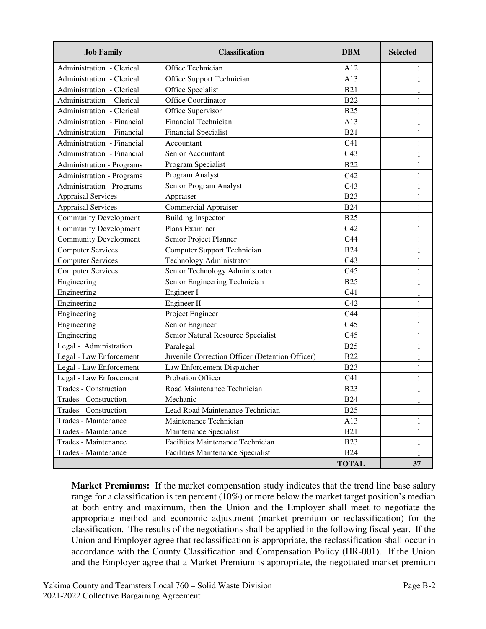| <b>Job Family</b>                | <b>Classification</b>                           | <b>DBM</b>      | <b>Selected</b> |  |  |
|----------------------------------|-------------------------------------------------|-----------------|-----------------|--|--|
| Administration - Clerical        | Office Technician                               | A12             | 1               |  |  |
| Administration - Clerical        | Office Support Technician                       | A13             | 1               |  |  |
| Administration - Clerical        | Office Specialist                               | <b>B21</b>      | $\mathbf{1}$    |  |  |
| Administration - Clerical        | Office Coordinator                              | <b>B22</b>      | 1               |  |  |
| Administration - Clerical        | Office Supervisor                               | <b>B25</b>      | $\mathbf{1}$    |  |  |
| Administration - Financial       | Financial Technician                            | A13             | $\mathbf 1$     |  |  |
| Administration - Financial       | <b>Financial Specialist</b>                     | <b>B21</b>      | 1               |  |  |
| Administration - Financial       | Accountant                                      | C <sub>41</sub> | 1               |  |  |
| Administration - Financial       | Senior Accountant                               | C <sub>43</sub> | 1               |  |  |
| <b>Administration - Programs</b> | Program Specialist                              | <b>B22</b>      | 1               |  |  |
| <b>Administration - Programs</b> | Program Analyst                                 | C42             | 1               |  |  |
| <b>Administration - Programs</b> | Senior Program Analyst                          | C <sub>43</sub> | $\mathbf{1}$    |  |  |
| <b>Appraisal Services</b>        | Appraiser                                       | <b>B23</b>      | 1               |  |  |
| <b>Appraisal Services</b>        | <b>Commercial Appraiser</b>                     | <b>B24</b>      | $\mathbf{1}$    |  |  |
| <b>Community Development</b>     | <b>Building Inspector</b>                       | <b>B25</b>      | 1               |  |  |
| <b>Community Development</b>     | Plans Examiner                                  | C42             | 1               |  |  |
| <b>Community Development</b>     | Senior Project Planner                          | C44             | $\mathbf 1$     |  |  |
| <b>Computer Services</b>         | <b>Computer Support Technician</b>              | <b>B24</b>      | 1               |  |  |
| <b>Computer Services</b>         | <b>Technology Administrator</b>                 | C <sub>43</sub> | $\mathbf{1}$    |  |  |
| <b>Computer Services</b>         | Senior Technology Administrator                 | C <sub>45</sub> | 1               |  |  |
| Engineering                      | Senior Engineering Technician                   | <b>B25</b>      | $\mathbf{1}$    |  |  |
| Engineering                      | Engineer I                                      | C <sub>41</sub> | 1               |  |  |
| Engineering                      | Engineer II                                     | C42             | 1               |  |  |
| Engineering                      | Project Engineer                                | C44             | 1               |  |  |
| Engineering                      | Senior Engineer                                 | C <sub>45</sub> | 1               |  |  |
| Engineering                      | Senior Natural Resource Specialist              | C <sub>45</sub> | 1               |  |  |
| Legal - Administration           | Paralegal                                       | <b>B25</b>      | 1               |  |  |
| Legal - Law Enforcement          | Juvenile Correction Officer (Detention Officer) |                 |                 |  |  |
| Legal - Law Enforcement          | Law Enforcement Dispatcher                      | <b>B23</b>      | 1               |  |  |
| Legal - Law Enforcement          | <b>Probation Officer</b>                        | C <sub>41</sub> | 1               |  |  |
| Trades - Construction            | Road Maintenance Technician                     |                 |                 |  |  |
| Trades - Construction            | Mechanic                                        |                 |                 |  |  |
| Trades - Construction            | Lead Road Maintenance Technician                | <b>B25</b>      | 1               |  |  |
| Trades - Maintenance             | Maintenance Technician                          | A13             | $\mathbf 1$     |  |  |
| Trades - Maintenance             | Maintenance Specialist                          | <b>B21</b>      | 1               |  |  |
| Trades - Maintenance             | Facilities Maintenance Technician               | <b>B23</b>      |                 |  |  |
| Trades - Maintenance             | Facilities Maintenance Specialist               | <b>B24</b>      | 1               |  |  |
|                                  |                                                 | <b>TOTAL</b>    | 37              |  |  |

**Market Premiums:** If the market compensation study indicates that the trend line base salary range for a classification is ten percent (10%) or more below the market target position's median at both entry and maximum, then the Union and the Employer shall meet to negotiate the appropriate method and economic adjustment (market premium or reclassification) for the classification. The results of the negotiations shall be applied in the following fiscal year. If the Union and Employer agree that reclassification is appropriate, the reclassification shall occur in accordance with the County Classification and Compensation Policy (HR-001). If the Union and the Employer agree that a Market Premium is appropriate, the negotiated market premium